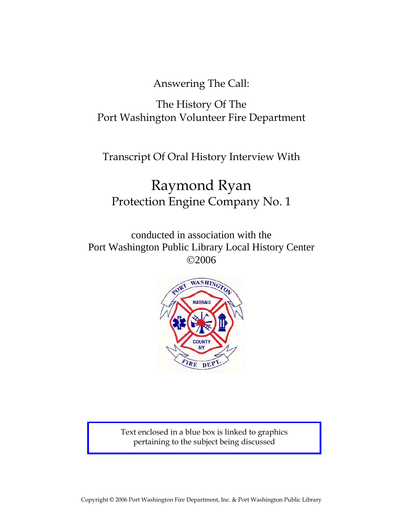Answering The Call:

# The History Of The Port Washington Volunteer Fire Department

Transcript Of Oral History Interview With

# Raymond Ryan Protection Engine Company No. 1

conducted in association with the Port Washington Public Library Local History Center ©2006



Text enclosed in a blue box is linked to graphics pertaining to the subject being discussed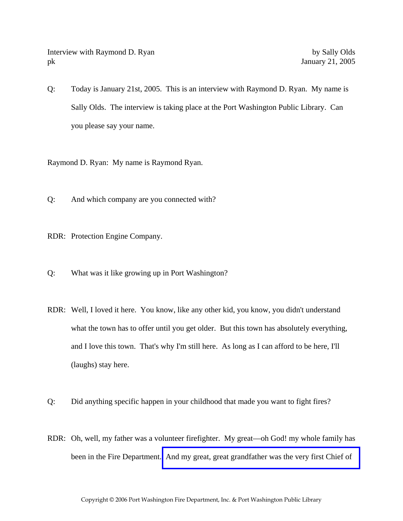Interview with Raymond D. Ryan by Sally Olds pk January 21, 2005

Q: Today is January 21st, 2005. This is an interview with Raymond D. Ryan. My name is Sally Olds. The interview is taking place at the Port Washington Public Library. Can you please say your name.

Raymond D. Ryan: My name is Raymond Ryan.

Q: And which company are you connected with?

RDR: Protection Engine Company.

- Q: What was it like growing up in Port Washington?
- RDR: Well, I loved it here. You know, like any other kid, you know, you didn't understand what the town has to offer until you get older. But this town has absolutely everything, and I love this town. That's why I'm still here. As long as I can afford to be here, I'll (laughs) stay here.
- Q: Did anything specific happen in your childhood that made you want to fight fires?
- RDR: Oh, well, my father was a volunteer firefighter. My great—oh God! my whole family has been in the Fire Department. [And my great, great grandfather was the very first Chief of](http://www.pwfdhistory.com/trans/ryanr_trans/news_hewitt_1941-04c.pdf)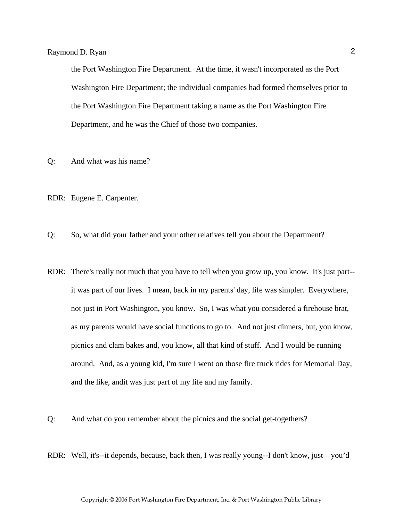the Port Washington Fire Department. At the time, it wasn't incorporated as the Port Washington Fire Department; the individual companies had formed themselves prior to the Port Washington Fire Department taking a name as the Port Washington Fire Department, and he was the Chief of those two companies.

- Q: And what was his name?
- RDR: Eugene E. Carpenter.

Q: So, what did your father and your other relatives tell you about the Department?

- RDR: There's really not much that you have to tell when you grow up, you know. It's just part- it was part of our lives. I mean, back in my parents' day, life was simpler. Everywhere, not just in Port Washington, you know. So, I was what you considered a firehouse brat, as my parents would have social functions to go to. And not just dinners, but, you know, picnics and clam bakes and, you know, all that kind of stuff. And I would be running around. And, as a young kid, I'm sure I went on those fire truck rides for Memorial Day, and the like, andit was just part of my life and my family.
- Q: And what do you remember about the picnics and the social get-togethers?
- RDR: Well, it's--it depends, because, back then, I was really young--I don't know, just—you'd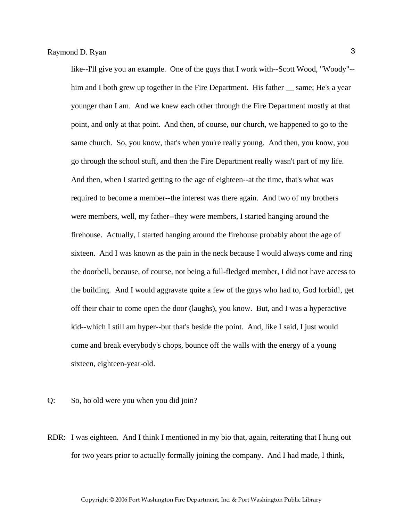like--I'll give you an example. One of the guys that I work with--Scott Wood, "Woody"- him and I both grew up together in the Fire Department. His father same; He's a year younger than I am. And we knew each other through the Fire Department mostly at that point, and only at that point. And then, of course, our church, we happened to go to the same church. So, you know, that's when you're really young. And then, you know, you go through the school stuff, and then the Fire Department really wasn't part of my life. And then, when I started getting to the age of eighteen--at the time, that's what was required to become a member--the interest was there again. And two of my brothers were members, well, my father--they were members, I started hanging around the firehouse. Actually, I started hanging around the firehouse probably about the age of sixteen. And I was known as the pain in the neck because I would always come and ring the doorbell, because, of course, not being a full-fledged member, I did not have access to the building. And I would aggravate quite a few of the guys who had to, God forbid!, get off their chair to come open the door (laughs), you know. But, and I was a hyperactive kid--which I still am hyper--but that's beside the point. And, like I said, I just would come and break everybody's chops, bounce off the walls with the energy of a young sixteen, eighteen-year-old.

- Q: So, ho old were you when you did join?
- RDR: I was eighteen. And I think I mentioned in my bio that, again, reiterating that I hung out for two years prior to actually formally joining the company. And I had made, I think,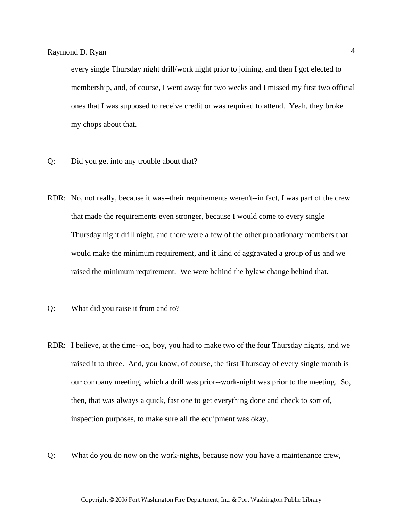every single Thursday night drill/work night prior to joining, and then I got elected to membership, and, of course, I went away for two weeks and I missed my first two official ones that I was supposed to receive credit or was required to attend. Yeah, they broke my chops about that.

- Q: Did you get into any trouble about that?
- RDR: No, not really, because it was--their requirements weren't--in fact, I was part of the crew that made the requirements even stronger, because I would come to every single Thursday night drill night, and there were a few of the other probationary members that would make the minimum requirement, and it kind of aggravated a group of us and we raised the minimum requirement. We were behind the bylaw change behind that.
- Q: What did you raise it from and to?
- RDR: I believe, at the time--oh, boy, you had to make two of the four Thursday nights, and we raised it to three. And, you know, of course, the first Thursday of every single month is our company meeting, which a drill was prior--work-night was prior to the meeting. So, then, that was always a quick, fast one to get everything done and check to sort of, inspection purposes, to make sure all the equipment was okay.
- Q: What do you do now on the work-nights, because now you have a maintenance crew,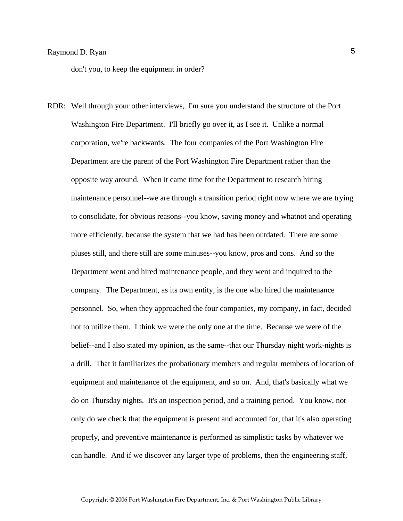don't you, to keep the equipment in order?

RDR: Well through your other interviews, I'm sure you understand the structure of the Port Washington Fire Department. I'll briefly go over it, as I see it. Unlike a normal corporation, we're backwards. The four companies of the Port Washington Fire Department are the parent of the Port Washington Fire Department rather than the opposite way around. When it came time for the Department to research hiring maintenance personnel--we are through a transition period right now where we are trying to consolidate, for obvious reasons--you know, saving money and whatnot and operating more efficiently, because the system that we had has been outdated. There are some pluses still, and there still are some minuses--you know, pros and cons. And so the Department went and hired maintenance people, and they went and inquired to the company. The Department, as its own entity, is the one who hired the maintenance personnel. So, when they approached the four companies, my company, in fact, decided not to utilize them. I think we were the only one at the time. Because we were of the belief--and I also stated my opinion, as the same--that our Thursday night work-nights is a drill. That it familiarizes the probationary members and regular members of location of equipment and maintenance of the equipment, and so on. And, that's basically what we do on Thursday nights. It's an inspection period, and a training period. You know, not only do we check that the equipment is present and accounted for, that it's also operating properly, and preventive maintenance is performed as simplistic tasks by whatever we can handle. And if we discover any larger type of problems, then the engineering staff,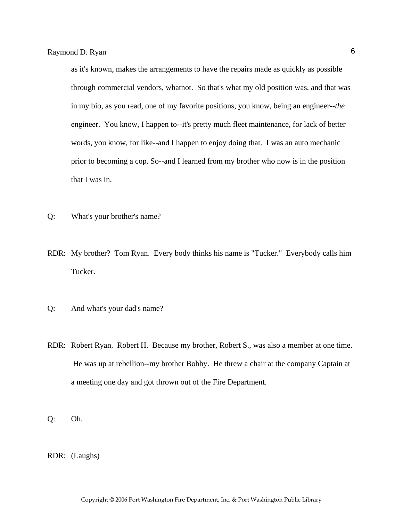as it's known, makes the arrangements to have the repairs made as quickly as possible through commercial vendors, whatnot. So that's what my old position was, and that was in my bio, as you read, one of my favorite positions, you know, being an engineer--*the* engineer. You know, I happen to--it's pretty much fleet maintenance, for lack of better words, you know, for like--and I happen to enjoy doing that. I was an auto mechanic prior to becoming a cop. So--and I learned from my brother who now is in the position that I was in.

- Q: What's your brother's name?
- RDR: My brother? Tom Ryan. Every body thinks his name is "Tucker." Everybody calls him Tucker.
- Q: And what's your dad's name?
- RDR: Robert Ryan. Robert H. Because my brother, Robert S., was also a member at one time. He was up at rebellion--my brother Bobby. He threw a chair at the company Captain at a meeting one day and got thrown out of the Fire Department.
- Q: Oh.
- RDR: (Laughs)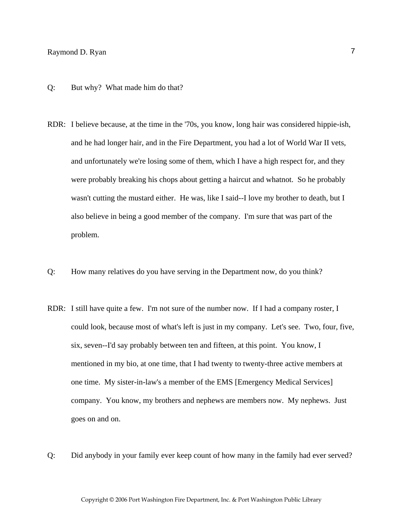- Q: But why? What made him do that?
- RDR: I believe because, at the time in the '70s, you know, long hair was considered hippie-ish, and he had longer hair, and in the Fire Department, you had a lot of World War II vets, and unfortunately we're losing some of them, which I have a high respect for, and they were probably breaking his chops about getting a haircut and whatnot. So he probably wasn't cutting the mustard either. He was, like I said--I love my brother to death, but I also believe in being a good member of the company. I'm sure that was part of the problem.
- Q: How many relatives do you have serving in the Department now, do you think?
- RDR: I still have quite a few. I'm not sure of the number now. If I had a company roster, I could look, because most of what's left is just in my company. Let's see. Two, four, five, six, seven--I'd say probably between ten and fifteen, at this point. You know, I mentioned in my bio, at one time, that I had twenty to twenty-three active members at one time. My sister-in-law's a member of the EMS [Emergency Medical Services] company. You know, my brothers and nephews are members now. My nephews. Just goes on and on.
- Q: Did anybody in your family ever keep count of how many in the family had ever served?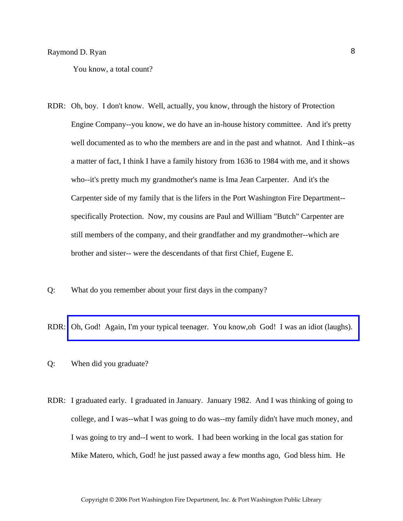You know, a total count?

- RDR: Oh, boy. I don't know. Well, actually, you know, through the history of Protection Engine Company--you know, we do have an in-house history committee. And it's pretty well documented as to who the members are and in the past and whatnot. And I think--as a matter of fact, I think I have a family history from 1636 to 1984 with me, and it shows who--it's pretty much my grandmother's name is Ima Jean Carpenter. And it's the Carpenter side of my family that is the lifers in the Port Washington Fire Department- specifically Protection. Now, my cousins are Paul and William "Butch" Carpenter are still members of the company, and their grandfather and my grandmother--which are brother and sister-- were the descendants of that first Chief, Eugene E.
- Q: What do you remember about your first days in the company?

RDR: [Oh, God! Again, I'm your typical teenager. You know,oh God! I was an idiot \(laughs\).](http://www.pwfdhistory.com/trans/ryanr_trans/peco_members006_web.jpg) 

- Q: When did you graduate?
- RDR: I graduated early. I graduated in January. January 1982. And I was thinking of going to college, and I was--what I was going to do was--my family didn't have much money, and I was going to try and--I went to work. I had been working in the local gas station for Mike Matero, which, God! he just passed away a few months ago, God bless him. He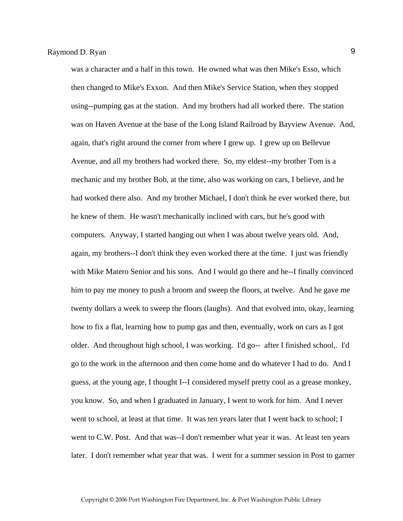was a character and a half in this town. He owned what was then Mike's Esso, which then changed to Mike's Exxon. And then Mike's Service Station, when they stopped using--pumping gas at the station. And my brothers had all worked there. The station was on Haven Avenue at the base of the Long Island Railroad by Bayview Avenue. And, again, that's right around the corner from where I grew up. I grew up on Bellevue Avenue, and all my brothers had worked there. So, my eldest--my brother Tom is a mechanic and my brother Bob, at the time, also was working on cars, I believe, and he had worked there also. And my brother Michael, I don't think he ever worked there, but he knew of them. He wasn't mechanically inclined with cars, but he's good with computers. Anyway, I started hanging out when I was about twelve years old. And, again, my brothers--I don't think they even worked there at the time. I just was friendly with Mike Matero Senior and his sons. And I would go there and he--I finally convinced him to pay me money to push a broom and sweep the floors, at twelve. And he gave me twenty dollars a week to sweep the floors (laughs). And that evolved into, okay, learning how to fix a flat, learning how to pump gas and then, eventually, work on cars as I got older. And throughout high school, I was working. I'd go-- after I finished school,. I'd go to the work in the afternoon and then come home and do whatever I had to do. And I guess, at the young age, I thought I--I considered myself pretty cool as a grease monkey, you know. So, and when I graduated in January, I went to work for him. And I never went to school, at least at that time. It was ten years later that I went back to school; I went to C.W. Post. And that was--I don't remember what year it was. At least ten years later. I don't remember what year that was. I went for a summer session in Post to garner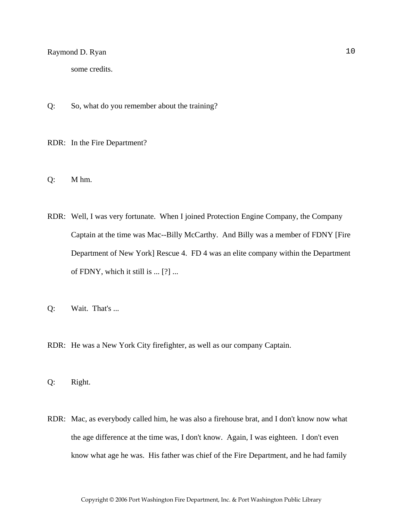some credits.

Q: So, what do you remember about the training?

RDR: In the Fire Department?

- Q: M hm.
- RDR: Well, I was very fortunate. When I joined Protection Engine Company, the Company Captain at the time was Mac--Billy McCarthy. And Billy was a member of FDNY [Fire Department of New York] Rescue 4. FD 4 was an elite company within the Department of FDNY, which it still is ... [?] ...
- Q: Wait. That's ...
- RDR: He was a New York City firefighter, as well as our company Captain.

Q: Right.

RDR: Mac, as everybody called him, he was also a firehouse brat, and I don't know now what the age difference at the time was, I don't know. Again, I was eighteen. I don't even know what age he was. His father was chief of the Fire Department, and he had family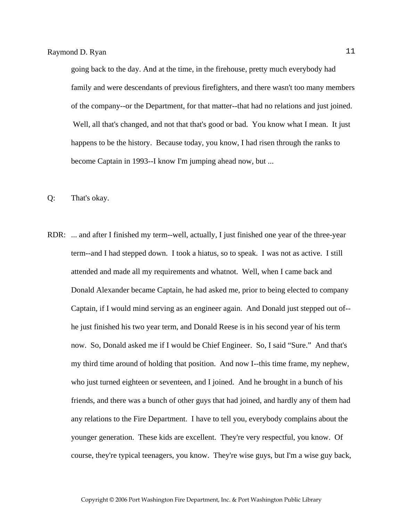going back to the day. And at the time, in the firehouse, pretty much everybody had family and were descendants of previous firefighters, and there wasn't too many members of the company--or the Department, for that matter--that had no relations and just joined. Well, all that's changed, and not that that's good or bad. You know what I mean. It just happens to be the history. Because today, you know, I had risen through the ranks to become Captain in 1993--I know I'm jumping ahead now, but ...

- Q: That's okay.
- RDR: ... and after I finished my term--well, actually, I just finished one year of the three-year term--and I had stepped down. I took a hiatus, so to speak. I was not as active. I still attended and made all my requirements and whatnot. Well, when I came back and Donald Alexander became Captain, he had asked me, prior to being elected to company Captain, if I would mind serving as an engineer again. And Donald just stepped out of- he just finished his two year term, and Donald Reese is in his second year of his term now. So, Donald asked me if I would be Chief Engineer. So, I said "Sure." And that's my third time around of holding that position. And now I--this time frame, my nephew, who just turned eighteen or seventeen, and I joined. And he brought in a bunch of his friends, and there was a bunch of other guys that had joined, and hardly any of them had any relations to the Fire Department. I have to tell you, everybody complains about the younger generation. These kids are excellent. They're very respectful, you know. Of course, they're typical teenagers, you know. They're wise guys, but I'm a wise guy back,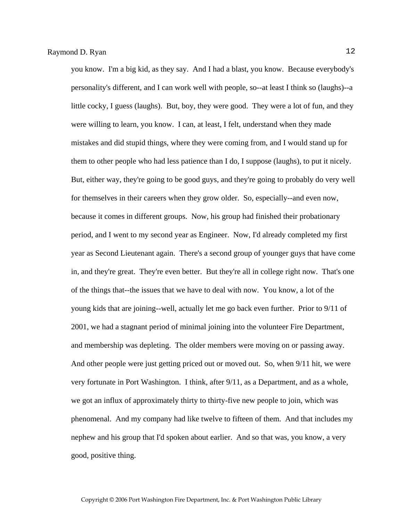you know. I'm a big kid, as they say. And I had a blast, you know. Because everybody's personality's different, and I can work well with people, so--at least I think so (laughs)--a little cocky, I guess (laughs). But, boy, they were good. They were a lot of fun, and they were willing to learn, you know. I can, at least, I felt, understand when they made mistakes and did stupid things, where they were coming from, and I would stand up for them to other people who had less patience than I do, I suppose (laughs), to put it nicely. But, either way, they're going to be good guys, and they're going to probably do very well for themselves in their careers when they grow older. So, especially--and even now, because it comes in different groups. Now, his group had finished their probationary period, and I went to my second year as Engineer. Now, I'd already completed my first year as Second Lieutenant again. There's a second group of younger guys that have come in, and they're great. They're even better. But they're all in college right now. That's one of the things that--the issues that we have to deal with now. You know, a lot of the young kids that are joining--well, actually let me go back even further. Prior to 9/11 of 2001, we had a stagnant period of minimal joining into the volunteer Fire Department, and membership was depleting. The older members were moving on or passing away. And other people were just getting priced out or moved out. So, when 9/11 hit, we were very fortunate in Port Washington. I think, after 9/11, as a Department, and as a whole, we got an influx of approximately thirty to thirty-five new people to join, which was phenomenal. And my company had like twelve to fifteen of them. And that includes my nephew and his group that I'd spoken about earlier. And so that was, you know, a very good, positive thing.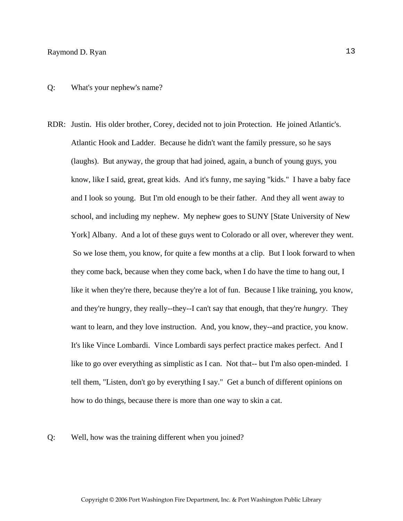#### Q: What's your nephew's name?

RDR: Justin. His older brother, Corey, decided not to join Protection. He joined Atlantic's. Atlantic Hook and Ladder. Because he didn't want the family pressure, so he says (laughs). But anyway, the group that had joined, again, a bunch of young guys, you know, like I said, great, great kids. And it's funny, me saying "kids." I have a baby face and I look so young. But I'm old enough to be their father. And they all went away to school, and including my nephew. My nephew goes to SUNY [State University of New York] Albany. And a lot of these guys went to Colorado or all over, wherever they went. So we lose them, you know, for quite a few months at a clip. But I look forward to when they come back, because when they come back, when I do have the time to hang out, I like it when they're there, because they're a lot of fun. Because I like training, you know, and they're hungry, they really--they--I can't say that enough, that they're *hungry*. They want to learn, and they love instruction. And, you know, they--and practice, you know. It's like Vince Lombardi. Vince Lombardi says perfect practice makes perfect. And I like to go over everything as simplistic as I can. Not that-- but I'm also open-minded. I tell them, "Listen, don't go by everything I say." Get a bunch of different opinions on how to do things, because there is more than one way to skin a cat.

#### Q: Well, how was the training different when you joined?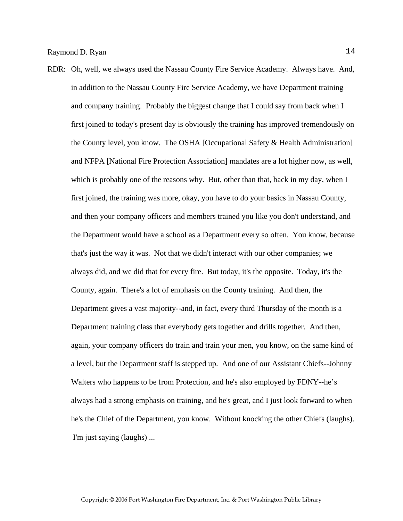RDR: Oh, well, we always used the Nassau County Fire Service Academy. Always have. And, in addition to the Nassau County Fire Service Academy, we have Department training and company training. Probably the biggest change that I could say from back when I first joined to today's present day is obviously the training has improved tremendously on the County level, you know. The OSHA [Occupational Safety & Health Administration] and NFPA [National Fire Protection Association] mandates are a lot higher now, as well, which is probably one of the reasons why. But, other than that, back in my day, when I first joined, the training was more, okay, you have to do your basics in Nassau County, and then your company officers and members trained you like you don't understand, and the Department would have a school as a Department every so often. You know, because that's just the way it was. Not that we didn't interact with our other companies; we always did, and we did that for every fire. But today, it's the opposite. Today, it's the County, again. There's a lot of emphasis on the County training. And then, the Department gives a vast majority--and, in fact, every third Thursday of the month is a Department training class that everybody gets together and drills together. And then, again, your company officers do train and train your men, you know, on the same kind of a level, but the Department staff is stepped up. And one of our Assistant Chiefs--Johnny Walters who happens to be from Protection, and he's also employed by FDNY--he's always had a strong emphasis on training, and he's great, and I just look forward to when he's the Chief of the Department, you know. Without knocking the other Chiefs (laughs). I'm just saying (laughs) ...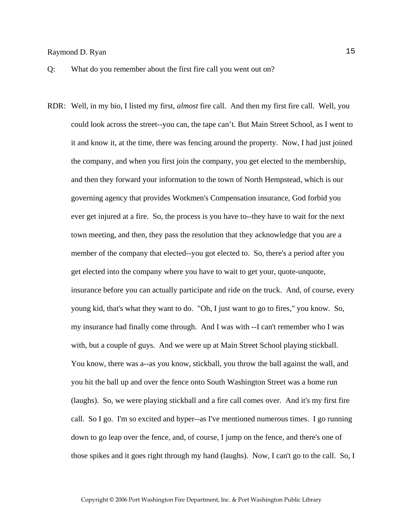- Q: What do you remember about the first fire call you went out on?
- RDR: Well, in my bio, I listed my first, *almost* fire call. And then my first fire call. Well, you could look across the street--you can, the tape can't. But Main Street School, as I went to it and know it, at the time, there was fencing around the property. Now, I had just joined the company, and when you first join the company, you get elected to the membership, and then they forward your information to the town of North Hempstead, which is our governing agency that provides Workmen's Compensation insurance, God forbid you ever get injured at a fire. So, the process is you have to--they have to wait for the next town meeting, and then, they pass the resolution that they acknowledge that you are a member of the company that elected--you got elected to. So, there's a period after you get elected into the company where you have to wait to get your, quote-unquote, insurance before you can actually participate and ride on the truck. And, of course, every young kid, that's what they want to do. "Oh, I just want to go to fires," you know. So, my insurance had finally come through. And I was with --I can't remember who I was with, but a couple of guys. And we were up at Main Street School playing stickball. You know, there was a--as you know, stickball, you throw the ball against the wall, and you hit the ball up and over the fence onto South Washington Street was a home run (laughs). So, we were playing stickball and a fire call comes over. And it's my first fire call. So I go. I'm so excited and hyper--as I've mentioned numerous times. I go running down to go leap over the fence, and, of course, I jump on the fence, and there's one of those spikes and it goes right through my hand (laughs). Now, I can't go to the call. So, I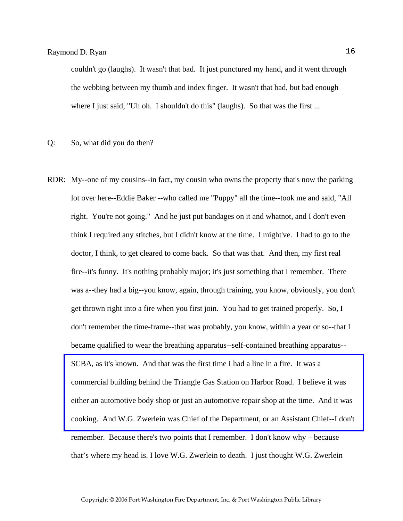couldn't go (laughs). It wasn't that bad. It just punctured my hand, and it went through the webbing between my thumb and index finger. It wasn't that bad, but bad enough where I just said, "Uh oh. I shouldn't do this" (laughs). So that was the first ...

- Q: So, what did you do then?
- RDR: My--one of my cousins--in fact, my cousin who owns the property that's now the parking lot over here--Eddie Baker --who called me "Puppy" all the time--took me and said, "All right. You're not going." And he just put bandages on it and whatnot, and I don't even think I required any stitches, but I didn't know at the time. I might've. I had to go to the doctor, I think, to get cleared to come back. So that was that. And then, my first real fire--it's funny. It's nothing probably major; it's just something that I remember. There was a--they had a big--you know, again, through training, you know, obviously, you don't get thrown right into a fire when you first join. You had to get trained properly. So, I don't remember the time-frame--that was probably, you know, within a year or so--that I became qualified to wear the breathing apparatus--self-contained breathing apparatus-- SCBA, as it's known. And that was the first time I had a line in a fire. It was a commercial building behind the Triangle Gas Station on Harbor Road. I believe it was either an automotive body shop or just an automotive repair shop at the time. And it was [cooking. And W.G. Zwerlein was Chief of the Department, or an Assistant Chief--I don't](http://www.pwfdhistory.com/trans/ryanr_trans/peco_fires020_web.jpg)  remember. Because there's two points that I remember. I don't know why – because that's where my head is. I love W.G. Zwerlein to death. I just thought W.G. Zwerlein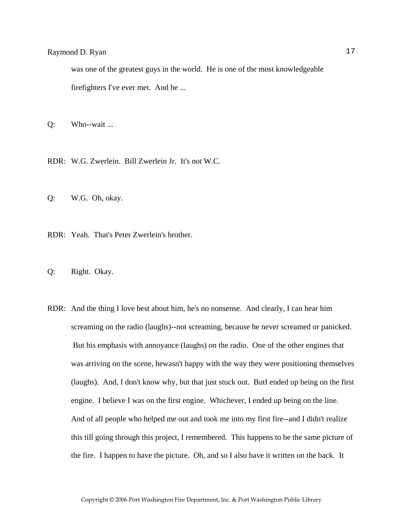was one of the greatest guys in the world. He is one of the most knowledgeable firefighters I've ever met. And he ...

Q: Who--wait ...

RDR: W.G. Zwerlein. Bill Zwerlein Jr. It's not W.C.

Q: W.G. Oh, okay.

RDR: Yeah. That's Peter Zwerlein's brother.

Q: Right. Okay.

RDR: And the thing I love best about him, he's no nonsense. And clearly, I can hear him screaming on the radio (laughs)--not screaming, because he never screamed or panicked. But his emphasis with annoyance (laughs) on the radio. One of the other engines that was arriving on the scene, hewasn't happy with the way they were positioning themselves (laughs). And, I don't know why, but that just stuck out. ButI ended up being on the first engine. I believe I was on the first engine. Whichever, I ended up being on the line. And of all people who helped me out and took me into my first fire--and I didn't realize this till going through this project, I remembered. This happens to be the same picture of the fire. I happen to have the picture. Oh, and so I also have it written on the back. It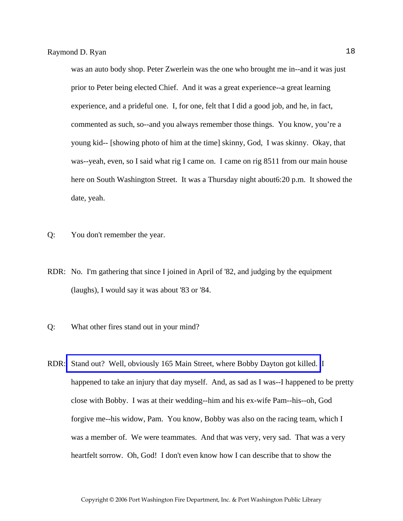was an auto body shop. Peter Zwerlein was the one who brought me in--and it was just prior to Peter being elected Chief. And it was a great experience--a great learning experience, and a prideful one. I, for one, felt that I did a good job, and he, in fact, commented as such, so--and you always remember those things. You know, you're a young kid-- [showing photo of him at the time] skinny, God, I was skinny. Okay, that was--yeah, even, so I said what rig I came on. I came on rig 8511 from our main house here on South Washington Street. It was a Thursday night about6:20 p.m. It showed the date, yeah.

- Q: You don't remember the year.
- RDR: No. I'm gathering that since I joined in April of '82, and judging by the equipment (laughs), I would say it was about '83 or '84.
- Q: What other fires stand out in your mind?
- RDR: [Stand out? Well, obviously 165 Main Street, where Bobby Dayton got killed.](http://www.pwfdhistory.com/trans/ryanr_trans/pnews881201_pz.pdf) I happened to take an injury that day myself. And, as sad as I was--I happened to be pretty close with Bobby. I was at their wedding--him and his ex-wife Pam--his--oh, God forgive me--his widow, Pam. You know, Bobby was also on the racing team, which I was a member of. We were teammates. And that was very, very sad. That was a very heartfelt sorrow. Oh, God! I don't even know how I can describe that to show the

Copyright © 2006 Port Washington Fire Department, Inc. & Port Washington Public Library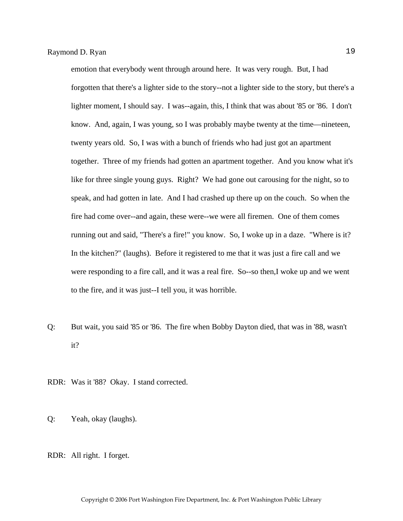emotion that everybody went through around here. It was very rough. But, I had forgotten that there's a lighter side to the story--not a lighter side to the story, but there's a lighter moment, I should say. I was--again, this, I think that was about '85 or '86. I don't know. And, again, I was young, so I was probably maybe twenty at the time—nineteen, twenty years old. So, I was with a bunch of friends who had just got an apartment together. Three of my friends had gotten an apartment together. And you know what it's like for three single young guys. Right? We had gone out carousing for the night, so to speak, and had gotten in late. And I had crashed up there up on the couch. So when the fire had come over--and again, these were--we were all firemen. One of them comes running out and said, "There's a fire!" you know. So, I woke up in a daze. "Where is it? In the kitchen?" (laughs). Before it registered to me that it was just a fire call and we were responding to a fire call, and it was a real fire. So--so then,I woke up and we went to the fire, and it was just--I tell you, it was horrible.

- Q: But wait, you said '85 or '86. The fire when Bobby Dayton died, that was in '88, wasn't it?
- RDR: Was it '88? Okay. I stand corrected.
- Q: Yeah, okay (laughs).
- RDR: All right. I forget.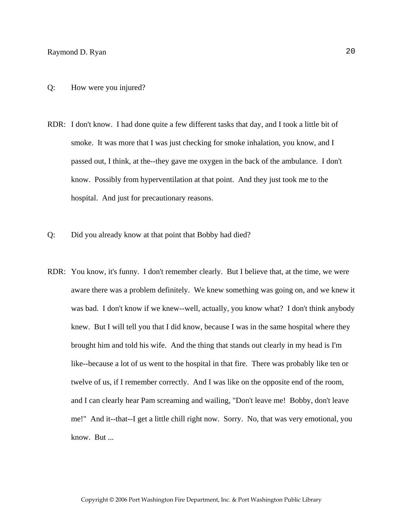- RDR: I don't know. I had done quite a few different tasks that day, and I took a little bit of smoke. It was more that I was just checking for smoke inhalation, you know, and I passed out, I think, at the--they gave me oxygen in the back of the ambulance. I don't know. Possibly from hyperventilation at that point. And they just took me to the hospital. And just for precautionary reasons.
- Q: Did you already know at that point that Bobby had died?
- RDR: You know, it's funny. I don't remember clearly. But I believe that, at the time, we were aware there was a problem definitely. We knew something was going on, and we knew it was bad. I don't know if we knew--well, actually, you know what? I don't think anybody knew. But I will tell you that I did know, because I was in the same hospital where they brought him and told his wife. And the thing that stands out clearly in my head is I'm like--because a lot of us went to the hospital in that fire. There was probably like ten or twelve of us, if I remember correctly. And I was like on the opposite end of the room, and I can clearly hear Pam screaming and wailing, "Don't leave me! Bobby, don't leave me!" And it--that--I get a little chill right now. Sorry. No, that was very emotional, you know. But ...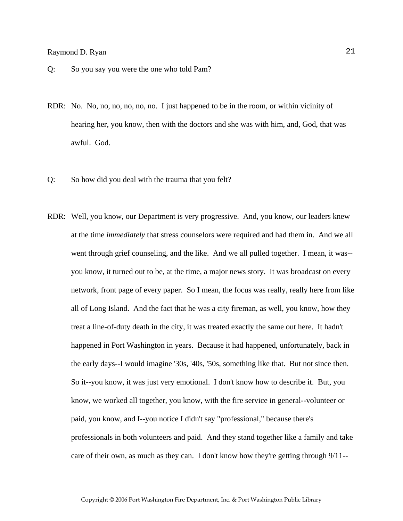- Q: So you say you were the one who told Pam?
- RDR: No. No, no, no, no, no, no. I just happened to be in the room, or within vicinity of hearing her, you know, then with the doctors and she was with him, and, God, that was awful. God.
- Q: So how did you deal with the trauma that you felt?
- RDR: Well, you know, our Department is very progressive. And, you know, our leaders knew at the time *immediately* that stress counselors were required and had them in. And we all went through grief counseling, and the like. And we all pulled together. I mean, it was- you know, it turned out to be, at the time, a major news story. It was broadcast on every network, front page of every paper. So I mean, the focus was really, really here from like all of Long Island. And the fact that he was a city fireman, as well, you know, how they treat a line-of-duty death in the city, it was treated exactly the same out here. It hadn't happened in Port Washington in years. Because it had happened, unfortunately, back in the early days--I would imagine '30s, '40s, '50s, something like that. But not since then. So it--you know, it was just very emotional. I don't know how to describe it. But, you know, we worked all together, you know, with the fire service in general--volunteer or paid, you know, and I--you notice I didn't say "professional," because there's professionals in both volunteers and paid. And they stand together like a family and take care of their own, as much as they can. I don't know how they're getting through 9/11--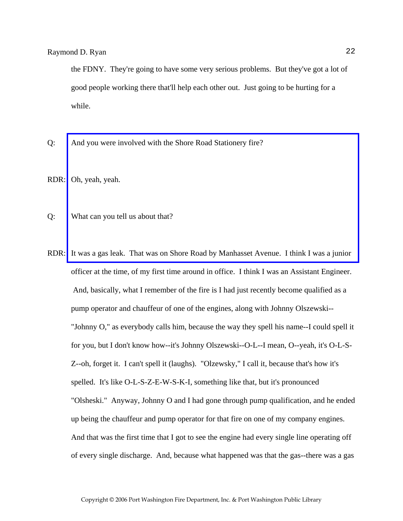the FDNY. They're going to have some very serious problems. But they've got a lot of good people working there that'll help each other out. Just going to be hurting for a while.

Q: And you were involved with the Shore Road Stationery fire?

RDR: Oh, yeah, yeah.

- Q: What can you tell us about that?
- RDR: [It was a gas leak. That was on Shore Road by Manhasset Avenue. I think I was a junior](http://www.pwfdhistory.com/trans/ryanr_trans/pnews_840405_hw.pdf)  officer at the time, of my first time around in office. I think I was an Assistant Engineer. And, basically, what I remember of the fire is I had just recently become qualified as a pump operator and chauffeur of one of the engines, along with Johnny Olszewski-- "Johnny O," as everybody calls him, because the way they spell his name--I could spell it for you, but I don't know how--it's Johnny Olszewski--O-L--I mean, O--yeah, it's O-L-S-Z--oh, forget it. I can't spell it (laughs). "Olzewsky," I call it, because that's how it's spelled. It's like O-L-S-Z-E-W-S-K-I, something like that, but it's pronounced "Olsheski." Anyway, Johnny O and I had gone through pump qualification, and he ended up being the chauffeur and pump operator for that fire on one of my company engines. And that was the first time that I got to see the engine had every single line operating off of every single discharge. And, because what happened was that the gas--there was a gas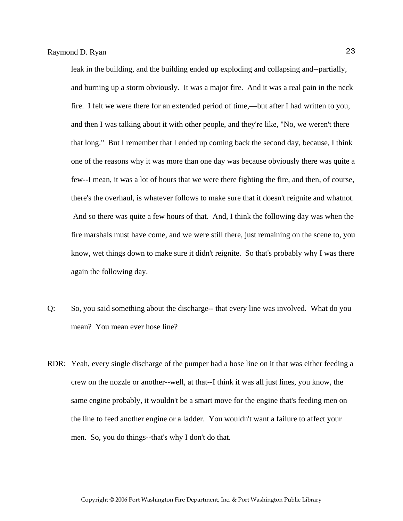leak in the building, and the building ended up exploding and collapsing and--partially, and burning up a storm obviously. It was a major fire. And it was a real pain in the neck fire. I felt we were there for an extended period of time,—but after I had written to you, and then I was talking about it with other people, and they're like, "No, we weren't there that long." But I remember that I ended up coming back the second day, because, I think one of the reasons why it was more than one day was because obviously there was quite a few--I mean, it was a lot of hours that we were there fighting the fire, and then, of course, there's the overhaul, is whatever follows to make sure that it doesn't reignite and whatnot. And so there was quite a few hours of that. And, I think the following day was when the fire marshals must have come, and we were still there, just remaining on the scene to, you know, wet things down to make sure it didn't reignite. So that's probably why I was there again the following day.

- Q: So, you said something about the discharge-- that every line was involved. What do you mean? You mean ever hose line?
- RDR: Yeah, every single discharge of the pumper had a hose line on it that was either feeding a crew on the nozzle or another--well, at that--I think it was all just lines, you know, the same engine probably, it wouldn't be a smart move for the engine that's feeding men on the line to feed another engine or a ladder. You wouldn't want a failure to affect your men. So, you do things--that's why I don't do that.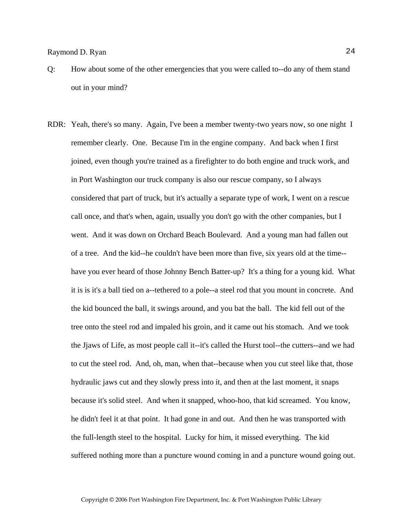- Q: How about some of the other emergencies that you were called to--do any of them stand out in your mind?
- RDR: Yeah, there's so many. Again, I've been a member twenty-two years now, so one night I remember clearly. One. Because I'm in the engine company. And back when I first joined, even though you're trained as a firefighter to do both engine and truck work, and in Port Washington our truck company is also our rescue company, so I always considered that part of truck, but it's actually a separate type of work, I went on a rescue call once, and that's when, again, usually you don't go with the other companies, but I went. And it was down on Orchard Beach Boulevard. And a young man had fallen out of a tree. And the kid--he couldn't have been more than five, six years old at the time- have you ever heard of those Johnny Bench Batter-up? It's a thing for a young kid. What it is is it's a ball tied on a--tethered to a pole--a steel rod that you mount in concrete. And the kid bounced the ball, it swings around, and you bat the ball. The kid fell out of the tree onto the steel rod and impaled his groin, and it came out his stomach. And we took the Jjaws of Life, as most people call it--it's called the Hurst tool--the cutters--and we had to cut the steel rod. And, oh, man, when that--because when you cut steel like that, those hydraulic jaws cut and they slowly press into it, and then at the last moment, it snaps because it's solid steel. And when it snapped, whoo-hoo, that kid screamed. You know, he didn't feel it at that point. It had gone in and out. And then he was transported with the full-length steel to the hospital. Lucky for him, it missed everything. The kid suffered nothing more than a puncture wound coming in and a puncture wound going out.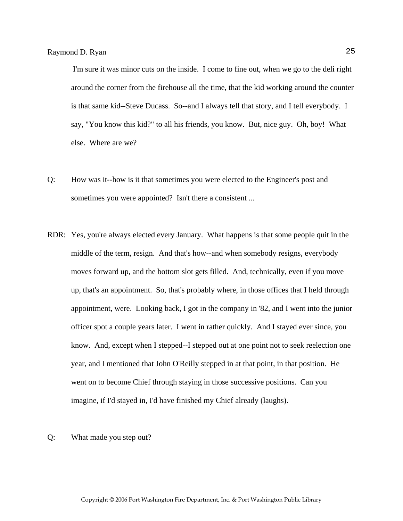I'm sure it was minor cuts on the inside. I come to fine out, when we go to the deli right around the corner from the firehouse all the time, that the kid working around the counter is that same kid--Steve Ducass. So--and I always tell that story, and I tell everybody. I say, "You know this kid?" to all his friends, you know. But, nice guy. Oh, boy! What else. Where are we?

- Q: How was it--how is it that sometimes you were elected to the Engineer's post and sometimes you were appointed? Isn't there a consistent ...
- RDR: Yes, you're always elected every January. What happens is that some people quit in the middle of the term, resign. And that's how--and when somebody resigns, everybody moves forward up, and the bottom slot gets filled. And, technically, even if you move up, that's an appointment. So, that's probably where, in those offices that I held through appointment, were. Looking back, I got in the company in '82, and I went into the junior officer spot a couple years later. I went in rather quickly. And I stayed ever since, you know. And, except when I stepped--I stepped out at one point not to seek reelection one year, and I mentioned that John O'Reilly stepped in at that point, in that position. He went on to become Chief through staying in those successive positions. Can you imagine, if I'd stayed in, I'd have finished my Chief already (laughs).

#### Q: What made you step out?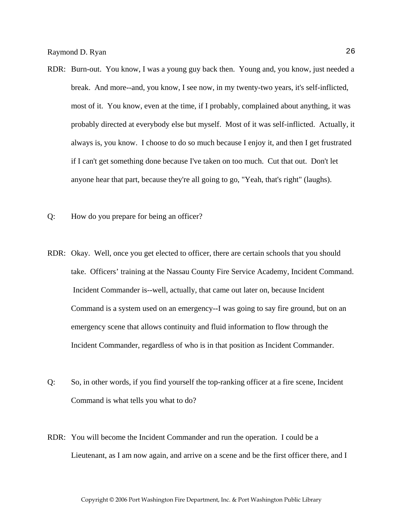- RDR: Burn-out. You know, I was a young guy back then. Young and, you know, just needed a break. And more--and, you know, I see now, in my twenty-two years, it's self-inflicted, most of it. You know, even at the time, if I probably, complained about anything, it was probably directed at everybody else but myself. Most of it was self-inflicted. Actually, it always is, you know. I choose to do so much because I enjoy it, and then I get frustrated if I can't get something done because I've taken on too much. Cut that out. Don't let anyone hear that part, because they're all going to go, "Yeah, that's right" (laughs).
- Q: How do you prepare for being an officer?
- RDR: Okay. Well, once you get elected to officer, there are certain schools that you should take. Officers' training at the Nassau County Fire Service Academy, Incident Command. Incident Commander is--well, actually, that came out later on, because Incident Command is a system used on an emergency--I was going to say fire ground, but on an emergency scene that allows continuity and fluid information to flow through the Incident Commander, regardless of who is in that position as Incident Commander.
- Q: So, in other words, if you find yourself the top-ranking officer at a fire scene, Incident Command is what tells you what to do?
- RDR: You will become the Incident Commander and run the operation. I could be a Lieutenant, as I am now again, and arrive on a scene and be the first officer there, and I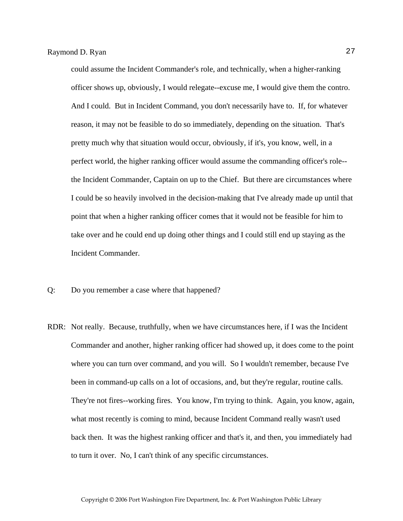could assume the Incident Commander's role, and technically, when a higher-ranking officer shows up, obviously, I would relegate--excuse me, I would give them the contro. And I could. But in Incident Command, you don't necessarily have to. If, for whatever reason, it may not be feasible to do so immediately, depending on the situation. That's pretty much why that situation would occur, obviously, if it's, you know, well, in a perfect world, the higher ranking officer would assume the commanding officer's role- the Incident Commander, Captain on up to the Chief. But there are circumstances where I could be so heavily involved in the decision-making that I've already made up until that point that when a higher ranking officer comes that it would not be feasible for him to take over and he could end up doing other things and I could still end up staying as the Incident Commander.

- Q: Do you remember a case where that happened?
- RDR: Not really. Because, truthfully, when we have circumstances here, if I was the Incident Commander and another, higher ranking officer had showed up, it does come to the point where you can turn over command, and you will. So I wouldn't remember, because I've been in command-up calls on a lot of occasions, and, but they're regular, routine calls. They're not fires--working fires. You know, I'm trying to think. Again, you know, again, what most recently is coming to mind, because Incident Command really wasn't used back then. It was the highest ranking officer and that's it, and then, you immediately had to turn it over. No, I can't think of any specific circumstances.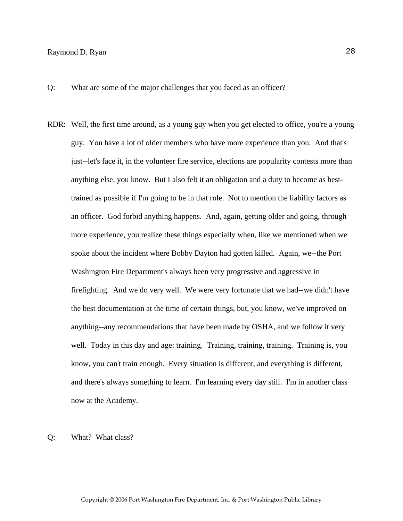Q: What are some of the major challenges that you faced as an officer?

RDR: Well, the first time around, as a young guy when you get elected to office, you're a young guy. You have a lot of older members who have more experience than you. And that's just--let's face it, in the volunteer fire service, elections are popularity contests more than anything else, you know. But I also felt it an obligation and a duty to become as besttrained as possible if I'm going to be in that role. Not to mention the liability factors as an officer. God forbid anything happens. And, again, getting older and going, through more experience, you realize these things especially when, like we mentioned when we spoke about the incident where Bobby Dayton had gotten killed. Again, we--the Port Washington Fire Department's always been very progressive and aggressive in firefighting. And we do very well. We were very fortunate that we had--we didn't have the best documentation at the time of certain things, but, you know, we've improved on anything--any recommendations that have been made by OSHA, and we follow it very well. Today in this day and age: training. Training, training, training. Training is, you know, you can't train enough. Every situation is different, and everything is different, and there's always something to learn. I'm learning every day still. I'm in another class now at the Academy.

#### Q: What? What class?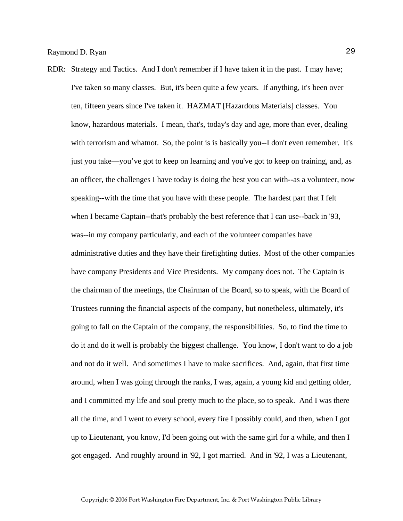RDR: Strategy and Tactics. And I don't remember if I have taken it in the past. I may have; I've taken so many classes. But, it's been quite a few years. If anything, it's been over ten, fifteen years since I've taken it. HAZMAT [Hazardous Materials] classes. You know, hazardous materials. I mean, that's, today's day and age, more than ever, dealing with terrorism and whatnot. So, the point is is basically you--I don't even remember. It's just you take—you've got to keep on learning and you've got to keep on training, and, as an officer, the challenges I have today is doing the best you can with--as a volunteer, now speaking--with the time that you have with these people. The hardest part that I felt when I became Captain--that's probably the best reference that I can use--back in '93, was--in my company particularly, and each of the volunteer companies have administrative duties and they have their firefighting duties. Most of the other companies have company Presidents and Vice Presidents. My company does not. The Captain is the chairman of the meetings, the Chairman of the Board, so to speak, with the Board of Trustees running the financial aspects of the company, but nonetheless, ultimately, it's going to fall on the Captain of the company, the responsibilities. So, to find the time to do it and do it well is probably the biggest challenge. You know, I don't want to do a job and not do it well. And sometimes I have to make sacrifices. And, again, that first time around, when I was going through the ranks, I was, again, a young kid and getting older, and I committed my life and soul pretty much to the place, so to speak. And I was there all the time, and I went to every school, every fire I possibly could, and then, when I got up to Lieutenant, you know, I'd been going out with the same girl for a while, and then I got engaged. And roughly around in '92, I got married. And in '92, I was a Lieutenant,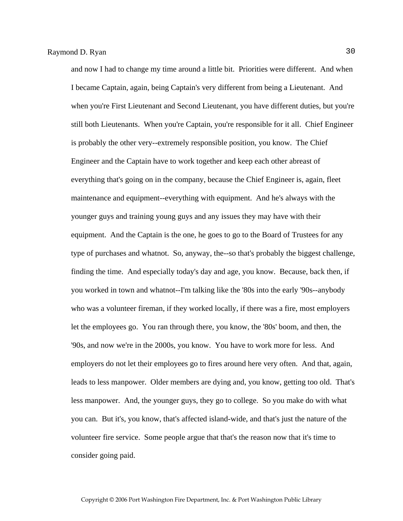and now I had to change my time around a little bit. Priorities were different. And when I became Captain, again, being Captain's very different from being a Lieutenant. And when you're First Lieutenant and Second Lieutenant, you have different duties, but you're still both Lieutenants. When you're Captain, you're responsible for it all. Chief Engineer is probably the other very--extremely responsible position, you know. The Chief Engineer and the Captain have to work together and keep each other abreast of everything that's going on in the company, because the Chief Engineer is, again, fleet maintenance and equipment--everything with equipment. And he's always with the younger guys and training young guys and any issues they may have with their equipment. And the Captain is the one, he goes to go to the Board of Trustees for any type of purchases and whatnot. So, anyway, the--so that's probably the biggest challenge, finding the time. And especially today's day and age, you know. Because, back then, if you worked in town and whatnot--I'm talking like the '80s into the early '90s--anybody who was a volunteer fireman, if they worked locally, if there was a fire, most employers let the employees go. You ran through there, you know, the '80s' boom, and then, the '90s, and now we're in the 2000s, you know. You have to work more for less. And employers do not let their employees go to fires around here very often. And that, again, leads to less manpower. Older members are dying and, you know, getting too old. That's less manpower. And, the younger guys, they go to college. So you make do with what you can. But it's, you know, that's affected island-wide, and that's just the nature of the volunteer fire service. Some people argue that that's the reason now that it's time to consider going paid.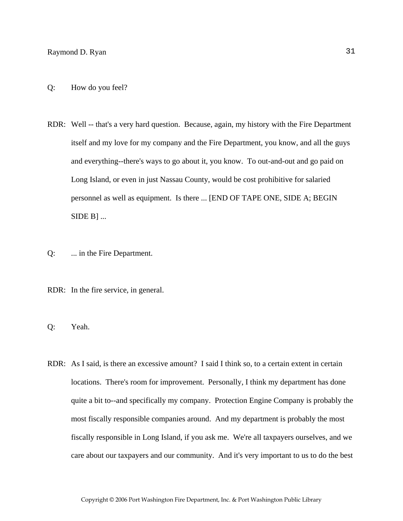- RDR: Well -- that's a very hard question. Because, again, my history with the Fire Department itself and my love for my company and the Fire Department, you know, and all the guys and everything--there's ways to go about it, you know. To out-and-out and go paid on Long Island, or even in just Nassau County, would be cost prohibitive for salaried personnel as well as equipment. Is there ... [END OF TAPE ONE, SIDE A; BEGIN  $SIDE B]$ ...
- Q: ... in the Fire Department.
- RDR: In the fire service, in general.
- Q: Yeah.
- RDR: As I said, is there an excessive amount? I said I think so, to a certain extent in certain locations. There's room for improvement. Personally, I think my department has done quite a bit to--and specifically my company. Protection Engine Company is probably the most fiscally responsible companies around. And my department is probably the most fiscally responsible in Long Island, if you ask me. We're all taxpayers ourselves, and we care about our taxpayers and our community. And it's very important to us to do the best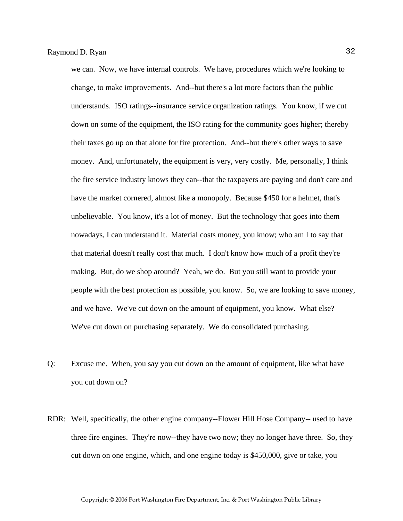we can. Now, we have internal controls. We have, procedures which we're looking to change, to make improvements. And--but there's a lot more factors than the public understands. ISO ratings--insurance service organization ratings. You know, if we cut down on some of the equipment, the ISO rating for the community goes higher; thereby their taxes go up on that alone for fire protection. And--but there's other ways to save money. And, unfortunately, the equipment is very, very costly. Me, personally, I think the fire service industry knows they can--that the taxpayers are paying and don't care and have the market cornered, almost like a monopoly. Because \$450 for a helmet, that's unbelievable. You know, it's a lot of money. But the technology that goes into them nowadays, I can understand it. Material costs money, you know; who am I to say that that material doesn't really cost that much. I don't know how much of a profit they're making. But, do we shop around? Yeah, we do. But you still want to provide your people with the best protection as possible, you know. So, we are looking to save money, and we have. We've cut down on the amount of equipment, you know. What else? We've cut down on purchasing separately. We do consolidated purchasing.

- Q: Excuse me. When, you say you cut down on the amount of equipment, like what have you cut down on?
- RDR: Well, specifically, the other engine company--Flower Hill Hose Company-- used to have three fire engines. They're now--they have two now; they no longer have three. So, they cut down on one engine, which, and one engine today is \$450,000, give or take, you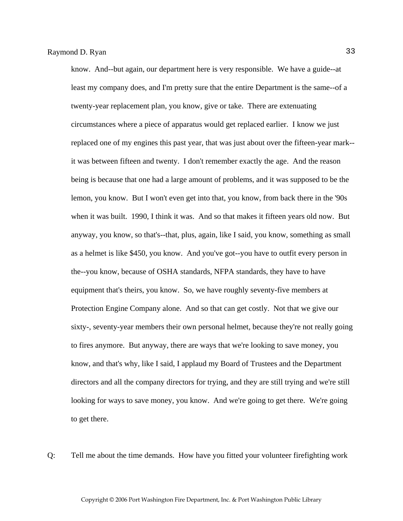know. And--but again, our department here is very responsible. We have a guide--at least my company does, and I'm pretty sure that the entire Department is the same--of a twenty-year replacement plan, you know, give or take. There are extenuating circumstances where a piece of apparatus would get replaced earlier. I know we just replaced one of my engines this past year, that was just about over the fifteen-year mark- it was between fifteen and twenty. I don't remember exactly the age. And the reason being is because that one had a large amount of problems, and it was supposed to be the lemon, you know. But I won't even get into that, you know, from back there in the '90s when it was built. 1990, I think it was. And so that makes it fifteen years old now. But anyway, you know, so that's--that, plus, again, like I said, you know, something as small as a helmet is like \$450, you know. And you've got--you have to outfit every person in the--you know, because of OSHA standards, NFPA standards, they have to have equipment that's theirs, you know. So, we have roughly seventy-five members at Protection Engine Company alone. And so that can get costly. Not that we give our sixty-, seventy-year members their own personal helmet, because they're not really going to fires anymore. But anyway, there are ways that we're looking to save money, you know, and that's why, like I said, I applaud my Board of Trustees and the Department directors and all the company directors for trying, and they are still trying and we're still looking for ways to save money, you know. And we're going to get there. We're going to get there.

Q: Tell me about the time demands. How have you fitted your volunteer firefighting work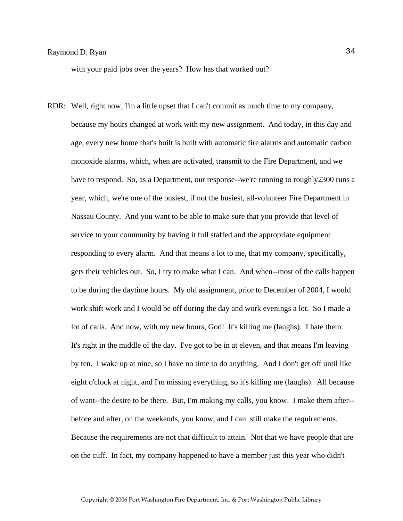with your paid jobs over the years? How has that worked out?

RDR: Well, right now, I'm a little upset that I can't commit as much time to my company, because my hours changed at work with my new assignment. And today, in this day and age, every new home that's built is built with automatic fire alarms and automatic carbon monoxide alarms, which, when are activated, transmit to the Fire Department, and we have to respond. So, as a Department, our response--we're running to roughly 2300 runs a year, which, we're one of the busiest, if not the busiest, all-volunteer Fire Department in Nassau County. And you want to be able to make sure that you provide that level of service to your community by having it full staffed and the appropriate equipment responding to every alarm. And that means a lot to me, that my company, specifically, gets their vehicles out. So, I try to make what I can. And when--most of the calls happen to be during the daytime hours. My old assignment, prior to December of 2004, I would work shift work and I would be off during the day and work evenings a lot. So I made a lot of calls. And now, with my new hours, God! It's killing me (laughs). I hate them. It's right in the middle of the day. I've got to be in at eleven, and that means I'm leaving by ten. I wake up at nine, so I have no time to do anything. And I don't get off until like eight o'clock at night, and I'm missing everything, so it's killing me (laughs). All because of want--the desire to be there. But, I'm making my calls, you know. I make them after- before and after, on the weekends, you know, and I can still make the requirements. Because the requirements are not that difficult to attain. Not that we have people that are on the cuff. In fact, my company happened to have a member just this year who didn't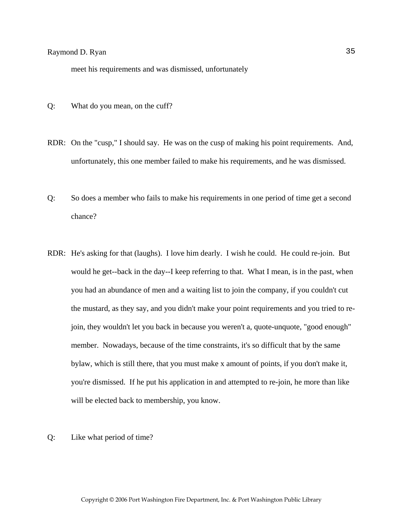meet his requirements and was dismissed, unfortunately

- Q: What do you mean, on the cuff?
- RDR: On the "cusp," I should say. He was on the cusp of making his point requirements. And, unfortunately, this one member failed to make his requirements, and he was dismissed.
- Q: So does a member who fails to make his requirements in one period of time get a second chance?
- RDR: He's asking for that (laughs). I love him dearly. I wish he could. He could re-join. But would he get--back in the day--I keep referring to that. What I mean, is in the past, when you had an abundance of men and a waiting list to join the company, if you couldn't cut the mustard, as they say, and you didn't make your point requirements and you tried to rejoin, they wouldn't let you back in because you weren't a, quote-unquote, "good enough" member. Nowadays, because of the time constraints, it's so difficult that by the same bylaw, which is still there, that you must make x amount of points, if you don't make it, you're dismissed. If he put his application in and attempted to re-join, he more than like will be elected back to membership, you know.
- Q: Like what period of time?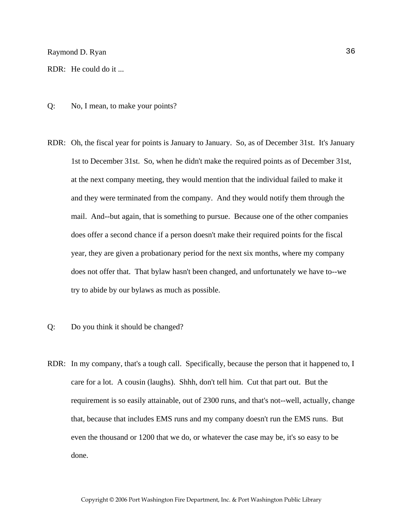Raymond D. Ryan 36

RDR: He could do it ...

- Q: No, I mean, to make your points?
- RDR: Oh, the fiscal year for points is January to January. So, as of December 31st. It's January 1st to December 31st. So, when he didn't make the required points as of December 31st, at the next company meeting, they would mention that the individual failed to make it and they were terminated from the company. And they would notify them through the mail. And--but again, that is something to pursue. Because one of the other companies does offer a second chance if a person doesn't make their required points for the fiscal year, they are given a probationary period for the next six months, where my company does not offer that. That bylaw hasn't been changed, and unfortunately we have to--we try to abide by our bylaws as much as possible.
- Q: Do you think it should be changed?
- RDR: In my company, that's a tough call. Specifically, because the person that it happened to, I care for a lot. A cousin (laughs). Shhh, don't tell him. Cut that part out. But the requirement is so easily attainable, out of 2300 runs, and that's not--well, actually, change that, because that includes EMS runs and my company doesn't run the EMS runs. But even the thousand or 1200 that we do, or whatever the case may be, it's so easy to be done.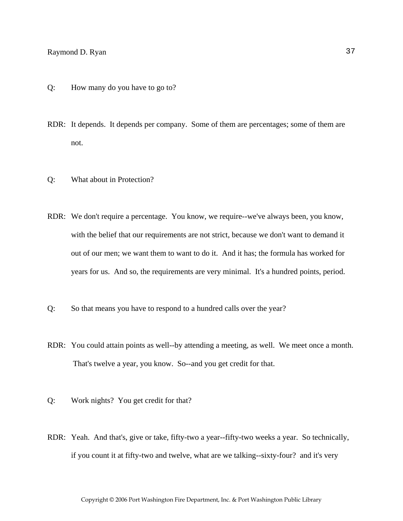# Raymond D. Ryan 37

- Q: How many do you have to go to?
- RDR: It depends. It depends per company. Some of them are percentages; some of them are not.
- Q: What about in Protection?
- RDR: We don't require a percentage. You know, we require--we've always been, you know, with the belief that our requirements are not strict, because we don't want to demand it out of our men; we want them to want to do it. And it has; the formula has worked for years for us. And so, the requirements are very minimal. It's a hundred points, period.
- Q: So that means you have to respond to a hundred calls over the year?
- RDR: You could attain points as well--by attending a meeting, as well. We meet once a month. That's twelve a year, you know. So--and you get credit for that.
- Q: Work nights? You get credit for that?
- RDR: Yeah. And that's, give or take, fifty-two a year--fifty-two weeks a year. So technically, if you count it at fifty-two and twelve, what are we talking--sixty-four? and it's very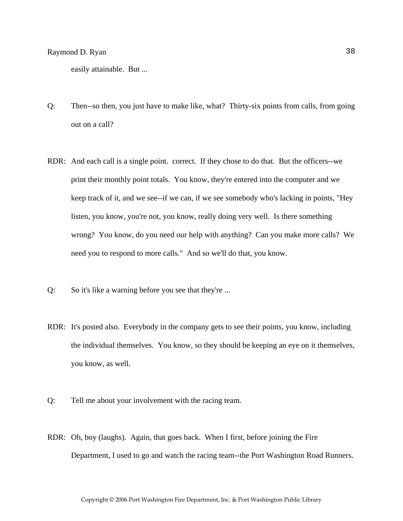easily attainable. But ...

- Q: Then--so then, you just have to make like, what? Thirty-six points from calls, from going out on a call?
- RDR: And each call is a single point. correct. If they chose to do that. But the officers--we print their monthly point totals. You know, they're entered into the computer and we keep track of it, and we see--if we can, if we see somebody who's lacking in points, "Hey listen, you know, you're not, you know, really doing very well. Is there something wrong? You know, do you need our help with anything? Can you make more calls? We need you to respond to more calls." And so we'll do that, you know.
- Q: So it's like a warning before you see that they're ...
- RDR: It's posted also. Everybody in the company gets to see their points, you know, including the individual themselves. You know, so they should be keeping an eye on it themselves, you know, as well.
- Q: Tell me about your involvement with the racing team.
- RDR: Oh, boy (laughs). Again, that goes back. When I first, before joining the Fire Department, I used to go and watch the racing team--the Port Washington Road Runners.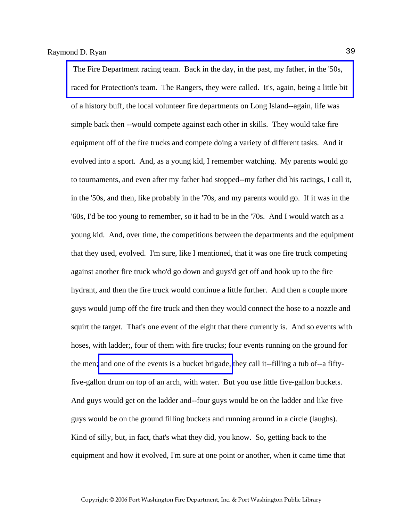The Fire Department racing team. Back in the day, in the past, my father, in the '50s, [raced for Protection's team. The Rangers, they were called. It's, again, being a little bit](http://www.pwfdhistory.com/trans/ryanr_trans/peco_racing09_web.jpg)  of a history buff, the local volunteer fire departments on Long Island--again, life was simple back then --would compete against each other in skills. They would take fire equipment off of the fire trucks and compete doing a variety of different tasks. And it evolved into a sport. And, as a young kid, I remember watching. My parents would go to tournaments, and even after my father had stopped--my father did his racings, I call it, in the '50s, and then, like probably in the '70s, and my parents would go. If it was in the '60s, I'd be too young to remember, so it had to be in the '70s. And I would watch as a young kid. And, over time, the competitions between the departments and the equipment that they used, evolved. I'm sure, like I mentioned, that it was one fire truck competing against another fire truck who'd go down and guys'd get off and hook up to the fire hydrant, and then the fire truck would continue a little further. And then a couple more guys would jump off the fire truck and then they would connect the hose to a nozzle and squirt the target. That's one event of the eight that there currently is. And so events with hoses, with ladder;, four of them with fire trucks; four events running on the ground for the men; [and one of the events is a bucket brigade,](http://www.pwfdhistory.com/trans/ryanr_trans/pwfd_racing027.jpg) they call it--filling a tub of--a fiftyfive-gallon drum on top of an arch, with water. But you use little five-gallon buckets. And guys would get on the ladder and--four guys would be on the ladder and like five guys would be on the ground filling buckets and running around in a circle (laughs). Kind of silly, but, in fact, that's what they did, you know. So, getting back to the equipment and how it evolved, I'm sure at one point or another, when it came time that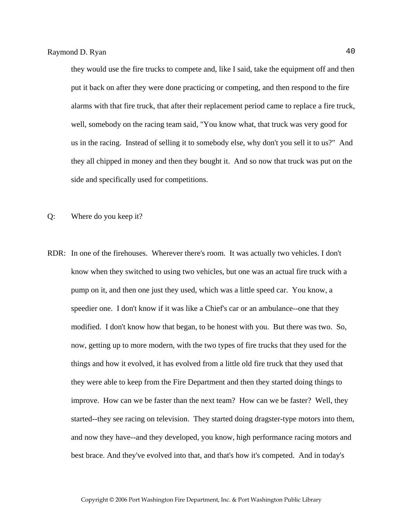they would use the fire trucks to compete and, like I said, take the equipment off and then put it back on after they were done practicing or competing, and then respond to the fire alarms with that fire truck, that after their replacement period came to replace a fire truck, well, somebody on the racing team said, "You know what, that truck was very good for us in the racing. Instead of selling it to somebody else, why don't you sell it to us?" And they all chipped in money and then they bought it. And so now that truck was put on the side and specifically used for competitions.

- Q: Where do you keep it?
- RDR: In one of the firehouses. Wherever there's room. It was actually two vehicles. I don't know when they switched to using two vehicles, but one was an actual fire truck with a pump on it, and then one just they used, which was a little speed car. You know, a speedier one. I don't know if it was like a Chief's car or an ambulance--one that they modified. I don't know how that began, to be honest with you. But there was two. So, now, getting up to more modern, with the two types of fire trucks that they used for the things and how it evolved, it has evolved from a little old fire truck that they used that they were able to keep from the Fire Department and then they started doing things to improve. How can we be faster than the next team? How can we be faster? Well, they started--they see racing on television. They started doing dragster-type motors into them, and now they have--and they developed, you know, high performance racing motors and best brace. And they've evolved into that, and that's how it's competed. And in today's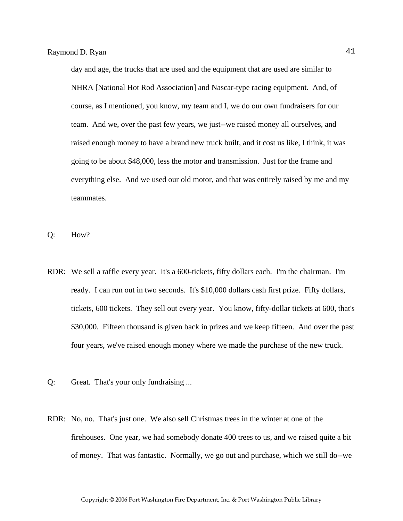day and age, the trucks that are used and the equipment that are used are similar to NHRA [National Hot Rod Association] and Nascar-type racing equipment. And, of course, as I mentioned, you know, my team and I, we do our own fundraisers for our team. And we, over the past few years, we just--we raised money all ourselves, and raised enough money to have a brand new truck built, and it cost us like, I think, it was going to be about \$48,000, less the motor and transmission. Just for the frame and everything else. And we used our old motor, and that was entirely raised by me and my teammates.

Q: How?

- RDR: We sell a raffle every year. It's a 600-tickets, fifty dollars each. I'm the chairman. I'm ready. I can run out in two seconds. It's \$10,000 dollars cash first prize. Fifty dollars, tickets, 600 tickets. They sell out every year. You know, fifty-dollar tickets at 600, that's \$30,000. Fifteen thousand is given back in prizes and we keep fifteen. And over the past four years, we've raised enough money where we made the purchase of the new truck.
- Q: Great. That's your only fundraising ...
- RDR: No, no. That's just one. We also sell Christmas trees in the winter at one of the firehouses. One year, we had somebody donate 400 trees to us, and we raised quite a bit of money. That was fantastic. Normally, we go out and purchase, which we still do--we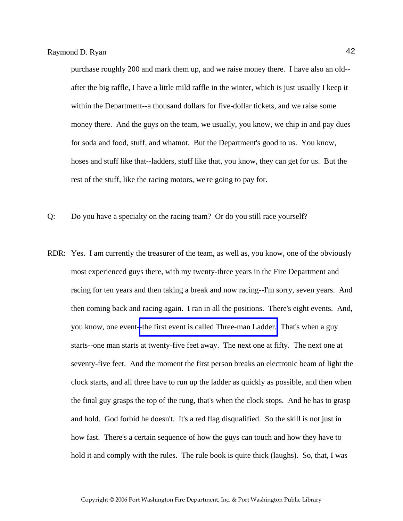purchase roughly 200 and mark them up, and we raise money there. I have also an old- after the big raffle, I have a little mild raffle in the winter, which is just usually I keep it within the Department--a thousand dollars for five-dollar tickets, and we raise some money there. And the guys on the team, we usually, you know, we chip in and pay dues for soda and food, stuff, and whatnot. But the Department's good to us. You know, hoses and stuff like that--ladders, stuff like that, you know, they can get for us. But the rest of the stuff, like the racing motors, we're going to pay for.

- Q: Do you have a specialty on the racing team? Or do you still race yourself?
- RDR: Yes. I am currently the treasurer of the team, as well as, you know, one of the obviously most experienced guys there, with my twenty-three years in the Fire Department and racing for ten years and then taking a break and now racing--I'm sorry, seven years. And then coming back and racing again. I ran in all the positions. There's eight events. And, you know, one event[--the first event is called Three-man Ladder.](http://www.pwfdhistory.com/trans/ryanr_trans/ahlco_racing01_web.jpg) That's when a guy starts--one man starts at twenty-five feet away. The next one at fifty. The next one at seventy-five feet. And the moment the first person breaks an electronic beam of light the clock starts, and all three have to run up the ladder as quickly as possible, and then when the final guy grasps the top of the rung, that's when the clock stops. And he has to grasp and hold. God forbid he doesn't. It's a red flag disqualified. So the skill is not just in how fast. There's a certain sequence of how the guys can touch and how they have to hold it and comply with the rules. The rule book is quite thick (laughs). So, that, I was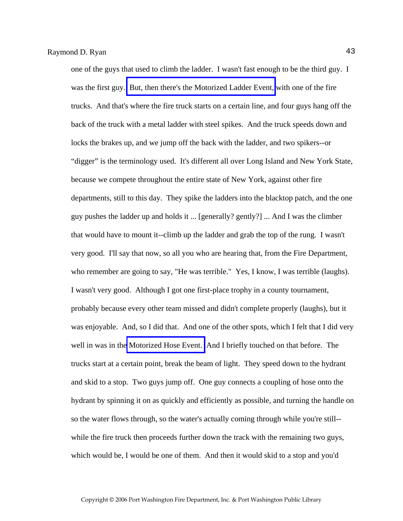one of the guys that used to climb the ladder. I wasn't fast enough to be the third guy. I was the first guy. [But, then there's the Motorized Ladder Event,](http://www.pwfdhistory.com/trans/ryanr_trans/ahlco_racing13_web.jpg) with one of the fire trucks. And that's where the fire truck starts on a certain line, and four guys hang off the back of the truck with a metal ladder with steel spikes. And the truck speeds down and locks the brakes up, and we jump off the back with the ladder, and two spikers--or "digger" is the terminology used. It's different all over Long Island and New York State, because we compete throughout the entire state of New York, against other fire departments, still to this day. They spike the ladders into the blacktop patch, and the one guy pushes the ladder up and holds it ... [generally? gently?] ... And I was the climber that would have to mount it--climb up the ladder and grab the top of the rung. I wasn't very good. I'll say that now, so all you who are hearing that, from the Fire Department, who remember are going to say, "He was terrible." Yes, I know, I was terrible (laughs). I wasn't very good. Although I got one first-place trophy in a county tournament, probably because every other team missed and didn't complete properly (laughs), but it was enjoyable. And, so I did that. And one of the other spots, which I felt that I did very well in was in the [Motorized Hose Event.](http://www.pwfdhistory.com/trans/ryanr_trans/fhh_racing008_web2.jpg) And I briefly touched on that before. The trucks start at a certain point, break the beam of light. They speed down to the hydrant and skid to a stop. Two guys jump off. One guy connects a coupling of hose onto the hydrant by spinning it on as quickly and efficiently as possible, and turning the handle on so the water flows through, so the water's actually coming through while you're still- while the fire truck then proceeds further down the track with the remaining two guys, which would be, I would be one of them. And then it would skid to a stop and you'd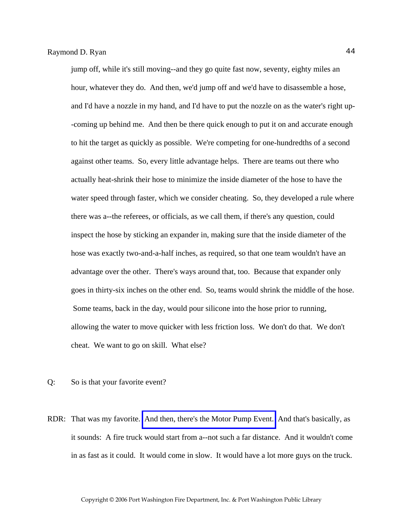jump off, while it's still moving--and they go quite fast now, seventy, eighty miles an hour, whatever they do. And then, we'd jump off and we'd have to disassemble a hose, and I'd have a nozzle in my hand, and I'd have to put the nozzle on as the water's right up- -coming up behind me. And then be there quick enough to put it on and accurate enough to hit the target as quickly as possible. We're competing for one-hundredths of a second against other teams. So, every little advantage helps. There are teams out there who actually heat-shrink their hose to minimize the inside diameter of the hose to have the water speed through faster, which we consider cheating. So, they developed a rule where there was a--the referees, or officials, as we call them, if there's any question, could inspect the hose by sticking an expander in, making sure that the inside diameter of the hose was exactly two-and-a-half inches, as required, so that one team wouldn't have an advantage over the other. There's ways around that, too. Because that expander only goes in thirty-six inches on the other end. So, teams would shrink the middle of the hose. Some teams, back in the day, would pour silicone into the hose prior to running, allowing the water to move quicker with less friction loss. We don't do that. We don't cheat. We want to go on skill. What else?

- Q: So is that your favorite event?
- RDR: That was my favorite. [And then, there's the Motor Pump Event.](http://www.pwfdhistory.com/trans/ryanr_trans/pwfd_racing002_web.jpg) And that's basically, as it sounds: A fire truck would start from a--not such a far distance. And it wouldn't come in as fast as it could. It would come in slow. It would have a lot more guys on the truck.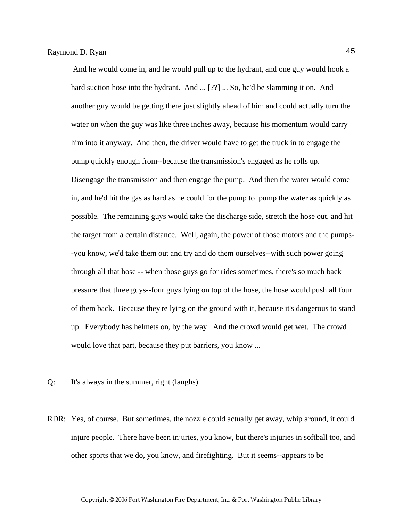And he would come in, and he would pull up to the hydrant, and one guy would hook a hard suction hose into the hydrant. And ... [??] ... So, he'd be slamming it on. And another guy would be getting there just slightly ahead of him and could actually turn the water on when the guy was like three inches away, because his momentum would carry him into it anyway. And then, the driver would have to get the truck in to engage the pump quickly enough from--because the transmission's engaged as he rolls up. Disengage the transmission and then engage the pump. And then the water would come in, and he'd hit the gas as hard as he could for the pump to pump the water as quickly as possible. The remaining guys would take the discharge side, stretch the hose out, and hit the target from a certain distance. Well, again, the power of those motors and the pumps- -you know, we'd take them out and try and do them ourselves--with such power going through all that hose -- when those guys go for rides sometimes, there's so much back pressure that three guys--four guys lying on top of the hose, the hose would push all four of them back. Because they're lying on the ground with it, because it's dangerous to stand up. Everybody has helmets on, by the way. And the crowd would get wet. The crowd would love that part, because they put barriers, you know ...

- Q: It's always in the summer, right (laughs).
- RDR: Yes, of course. But sometimes, the nozzle could actually get away, whip around, it could injure people. There have been injuries, you know, but there's injuries in softball too, and other sports that we do, you know, and firefighting. But it seems--appears to be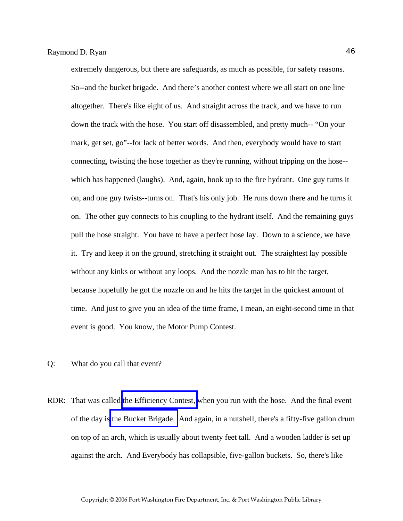extremely dangerous, but there are safeguards, as much as possible, for safety reasons. So--and the bucket brigade. And there's another contest where we all start on one line altogether. There's like eight of us. And straight across the track, and we have to run down the track with the hose. You start off disassembled, and pretty much-- "On your mark, get set, go"--for lack of better words. And then, everybody would have to start connecting, twisting the hose together as they're running, without tripping on the hose- which has happened (laughs). And, again, hook up to the fire hydrant. One guy turns it on, and one guy twists--turns on. That's his only job. He runs down there and he turns it on. The other guy connects to his coupling to the hydrant itself. And the remaining guys pull the hose straight. You have to have a perfect hose lay. Down to a science, we have it. Try and keep it on the ground, stretching it straight out. The straightest lay possible without any kinks or without any loops. And the nozzle man has to hit the target, because hopefully he got the nozzle on and he hits the target in the quickest amount of time. And just to give you an idea of the time frame, I mean, an eight-second time in that event is good. You know, the Motor Pump Contest.

- Q: What do you call that event?
- RDR: That was called [the Efficiency Contest,](http://www.pwfdhistory.com/trans/ryanr_trans/pwfd_racing008_web.jpg) when you run with the hose. And the final event of the day is [the Bucket Brigade.](http://www.pwfdhistory.com/trans/ryanr_trans/pwfd_racing010_web.jpg) And again, in a nutshell, there's a fifty-five gallon drum on top of an arch, which is usually about twenty feet tall. And a wooden ladder is set up against the arch. And Everybody has collapsible, five-gallon buckets. So, there's like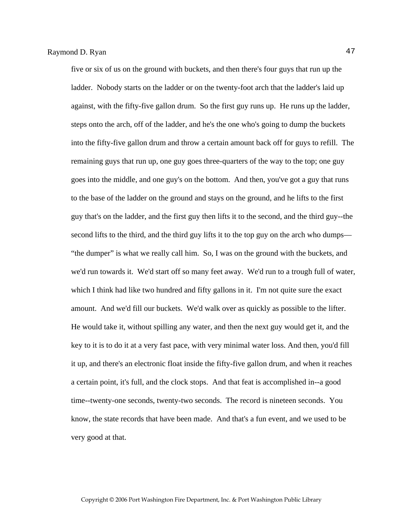five or six of us on the ground with buckets, and then there's four guys that run up the ladder. Nobody starts on the ladder or on the twenty-foot arch that the ladder's laid up against, with the fifty-five gallon drum. So the first guy runs up. He runs up the ladder, steps onto the arch, off of the ladder, and he's the one who's going to dump the buckets into the fifty-five gallon drum and throw a certain amount back off for guys to refill. The remaining guys that run up, one guy goes three-quarters of the way to the top; one guy goes into the middle, and one guy's on the bottom. And then, you've got a guy that runs to the base of the ladder on the ground and stays on the ground, and he lifts to the first guy that's on the ladder, and the first guy then lifts it to the second, and the third guy--the second lifts to the third, and the third guy lifts it to the top guy on the arch who dumps— "the dumper" is what we really call him. So, I was on the ground with the buckets, and we'd run towards it. We'd start off so many feet away. We'd run to a trough full of water, which I think had like two hundred and fifty gallons in it. I'm not quite sure the exact amount. And we'd fill our buckets. We'd walk over as quickly as possible to the lifter. He would take it, without spilling any water, and then the next guy would get it, and the key to it is to do it at a very fast pace, with very minimal water loss. And then, you'd fill it up, and there's an electronic float inside the fifty-five gallon drum, and when it reaches a certain point, it's full, and the clock stops. And that feat is accomplished in--a good time--twenty-one seconds, twenty-two seconds. The record is nineteen seconds. You know, the state records that have been made. And that's a fun event, and we used to be very good at that.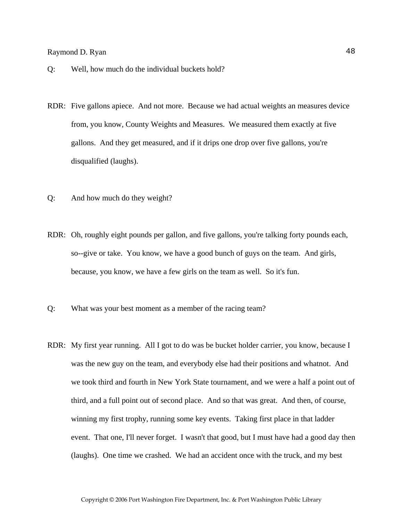## Raymond D. Ryan 48

- Q: Well, how much do the individual buckets hold?
- RDR: Five gallons apiece. And not more. Because we had actual weights an measures device from, you know, County Weights and Measures. We measured them exactly at five gallons. And they get measured, and if it drips one drop over five gallons, you're disqualified (laughs).
- Q: And how much do they weight?
- RDR: Oh, roughly eight pounds per gallon, and five gallons, you're talking forty pounds each, so--give or take. You know, we have a good bunch of guys on the team. And girls, because, you know, we have a few girls on the team as well. So it's fun.
- Q: What was your best moment as a member of the racing team?
- RDR: My first year running. All I got to do was be bucket holder carrier, you know, because I was the new guy on the team, and everybody else had their positions and whatnot. And we took third and fourth in New York State tournament, and we were a half a point out of third, and a full point out of second place. And so that was great. And then, of course, winning my first trophy, running some key events. Taking first place in that ladder event. That one, I'll never forget. I wasn't that good, but I must have had a good day then (laughs). One time we crashed. We had an accident once with the truck, and my best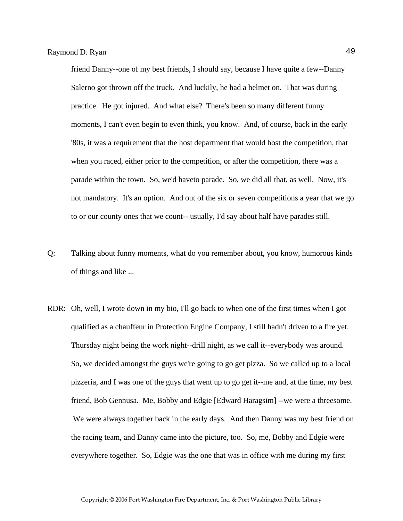friend Danny--one of my best friends, I should say, because I have quite a few--Danny Salerno got thrown off the truck. And luckily, he had a helmet on. That was during practice. He got injured. And what else? There's been so many different funny moments, I can't even begin to even think, you know. And, of course, back in the early '80s, it was a requirement that the host department that would host the competition, that when you raced, either prior to the competition, or after the competition, there was a parade within the town. So, we'd haveto parade. So, we did all that, as well. Now, it's not mandatory. It's an option. And out of the six or seven competitions a year that we go to or our county ones that we count-- usually, I'd say about half have parades still.

- Q: Talking about funny moments, what do you remember about, you know, humorous kinds of things and like ...
- RDR: Oh, well, I wrote down in my bio, I'll go back to when one of the first times when I got qualified as a chauffeur in Protection Engine Company, I still hadn't driven to a fire yet. Thursday night being the work night--drill night, as we call it--everybody was around. So, we decided amongst the guys we're going to go get pizza. So we called up to a local pizzeria, and I was one of the guys that went up to go get it--me and, at the time, my best friend, Bob Gennusa. Me, Bobby and Edgie [Edward Haragsim] --we were a threesome. We were always together back in the early days. And then Danny was my best friend on the racing team, and Danny came into the picture, too. So, me, Bobby and Edgie were everywhere together. So, Edgie was the one that was in office with me during my first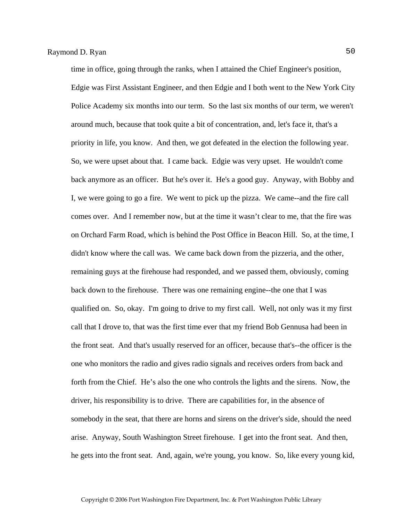time in office, going through the ranks, when I attained the Chief Engineer's position, Edgie was First Assistant Engineer, and then Edgie and I both went to the New York City Police Academy six months into our term. So the last six months of our term, we weren't around much, because that took quite a bit of concentration, and, let's face it, that's a priority in life, you know. And then, we got defeated in the election the following year. So, we were upset about that. I came back. Edgie was very upset. He wouldn't come back anymore as an officer. But he's over it. He's a good guy. Anyway, with Bobby and I, we were going to go a fire. We went to pick up the pizza. We came--and the fire call comes over. And I remember now, but at the time it wasn't clear to me, that the fire was on Orchard Farm Road, which is behind the Post Office in Beacon Hill. So, at the time, I didn't know where the call was. We came back down from the pizzeria, and the other, remaining guys at the firehouse had responded, and we passed them, obviously, coming back down to the firehouse. There was one remaining engine--the one that I was qualified on. So, okay. I'm going to drive to my first call. Well, not only was it my first call that I drove to, that was the first time ever that my friend Bob Gennusa had been in the front seat. And that's usually reserved for an officer, because that's--the officer is the one who monitors the radio and gives radio signals and receives orders from back and forth from the Chief. He's also the one who controls the lights and the sirens. Now, the driver, his responsibility is to drive. There are capabilities for, in the absence of somebody in the seat, that there are horns and sirens on the driver's side, should the need arise. Anyway, South Washington Street firehouse. I get into the front seat. And then, he gets into the front seat. And, again, we're young, you know. So, like every young kid,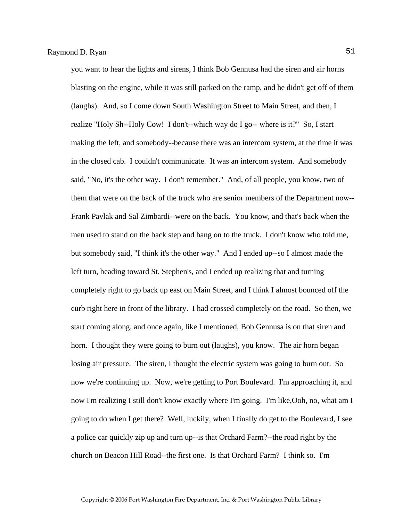you want to hear the lights and sirens, I think Bob Gennusa had the siren and air horns blasting on the engine, while it was still parked on the ramp, and he didn't get off of them (laughs). And, so I come down South Washington Street to Main Street, and then, I realize "Holy Sh--Holy Cow! I don't--which way do I go-- where is it?" So, I start making the left, and somebody--because there was an intercom system, at the time it was in the closed cab. I couldn't communicate. It was an intercom system. And somebody said, "No, it's the other way. I don't remember." And, of all people, you know, two of them that were on the back of the truck who are senior members of the Department now-- Frank Pavlak and Sal Zimbardi--were on the back. You know, and that's back when the men used to stand on the back step and hang on to the truck. I don't know who told me, but somebody said, "I think it's the other way." And I ended up--so I almost made the left turn, heading toward St. Stephen's, and I ended up realizing that and turning completely right to go back up east on Main Street, and I think I almost bounced off the curb right here in front of the library. I had crossed completely on the road. So then, we start coming along, and once again, like I mentioned, Bob Gennusa is on that siren and horn. I thought they were going to burn out (laughs), you know. The air horn began losing air pressure. The siren, I thought the electric system was going to burn out. So now we're continuing up. Now, we're getting to Port Boulevard. I'm approaching it, and now I'm realizing I still don't know exactly where I'm going. I'm like,Ooh, no, what am I going to do when I get there? Well, luckily, when I finally do get to the Boulevard, I see a police car quickly zip up and turn up--is that Orchard Farm?--the road right by the church on Beacon Hill Road--the first one. Is that Orchard Farm? I think so. I'm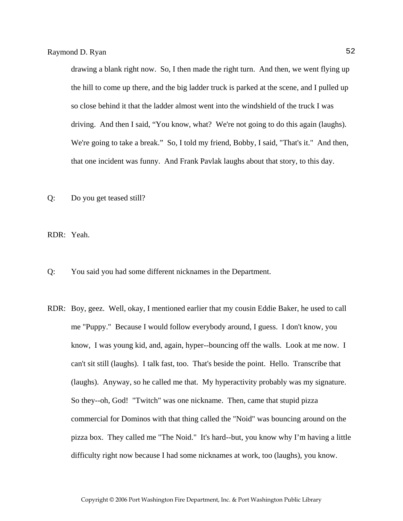drawing a blank right now. So, I then made the right turn. And then, we went flying up the hill to come up there, and the big ladder truck is parked at the scene, and I pulled up so close behind it that the ladder almost went into the windshield of the truck I was driving. And then I said, "You know, what? We're not going to do this again (laughs). We're going to take a break." So, I told my friend, Bobby, I said, "That's it." And then, that one incident was funny. And Frank Pavlak laughs about that story, to this day.

Q: Do you get teased still?

RDR: Yeah.

Q: You said you had some different nicknames in the Department.

RDR: Boy, geez. Well, okay, I mentioned earlier that my cousin Eddie Baker, he used to call me "Puppy." Because I would follow everybody around, I guess. I don't know, you know, I was young kid, and, again, hyper--bouncing off the walls. Look at me now. I can't sit still (laughs). I talk fast, too. That's beside the point. Hello. Transcribe that (laughs). Anyway, so he called me that. My hyperactivity probably was my signature. So they--oh, God! "Twitch" was one nickname. Then, came that stupid pizza commercial for Dominos with that thing called the "Noid" was bouncing around on the pizza box. They called me "The Noid." It's hard--but, you know why I'm having a little difficulty right now because I had some nicknames at work, too (laughs), you know.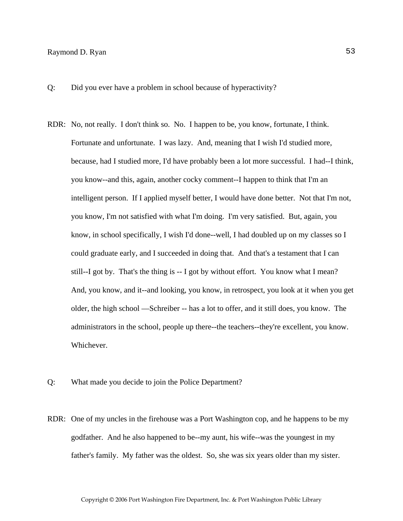# Raymond D. Ryan 53

Q: Did you ever have a problem in school because of hyperactivity?

- RDR: No, not really. I don't think so. No. I happen to be, you know, fortunate, I think. Fortunate and unfortunate. I was lazy. And, meaning that I wish I'd studied more, because, had I studied more, I'd have probably been a lot more successful. I had--I think, you know--and this, again, another cocky comment--I happen to think that I'm an intelligent person. If I applied myself better, I would have done better. Not that I'm not, you know, I'm not satisfied with what I'm doing. I'm very satisfied. But, again, you know, in school specifically, I wish I'd done--well, I had doubled up on my classes so I could graduate early, and I succeeded in doing that. And that's a testament that I can still--I got by. That's the thing is -- I got by without effort. You know what I mean? And, you know, and it--and looking, you know, in retrospect, you look at it when you get older, the high school —Schreiber -- has a lot to offer, and it still does, you know. The administrators in the school, people up there--the teachers--they're excellent, you know. Whichever.
- Q: What made you decide to join the Police Department?
- RDR: One of my uncles in the firehouse was a Port Washington cop, and he happens to be my godfather. And he also happened to be--my aunt, his wife--was the youngest in my father's family. My father was the oldest. So, she was six years older than my sister.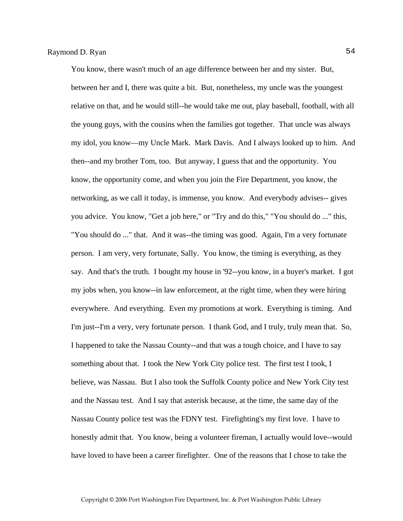You know, there wasn't much of an age difference between her and my sister. But, between her and I, there was quite a bit. But, nonetheless, my uncle was the youngest relative on that, and he would still--he would take me out, play baseball, football, with all the young guys, with the cousins when the families got together. That uncle was always my idol, you know—my Uncle Mark. Mark Davis. And I always looked up to him. And then--and my brother Tom, too. But anyway, I guess that and the opportunity. You know, the opportunity come, and when you join the Fire Department, you know, the networking, as we call it today, is immense, you know. And everybody advises-- gives you advice. You know, "Get a job here," or "Try and do this," "You should do ..." this, "You should do ..." that. And it was--the timing was good. Again, I'm a very fortunate person. I am very, very fortunate, Sally. You know, the timing is everything, as they say. And that's the truth. I bought my house in '92--you know, in a buyer's market. I got my jobs when, you know--in law enforcement, at the right time, when they were hiring everywhere. And everything. Even my promotions at work. Everything is timing. And I'm just--I'm a very, very fortunate person. I thank God, and I truly, truly mean that. So, I happened to take the Nassau County--and that was a tough choice, and I have to say something about that. I took the New York City police test. The first test I took, I believe, was Nassau. But I also took the Suffolk County police and New York City test and the Nassau test. And I say that asterisk because, at the time, the same day of the Nassau County police test was the FDNY test. Firefighting's my first love. I have to honestly admit that. You know, being a volunteer fireman, I actually would love--would have loved to have been a career firefighter. One of the reasons that I chose to take the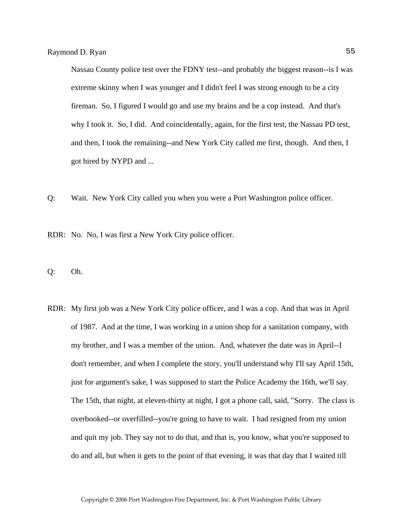Nassau County police test over the FDNY test--and probably *the* biggest reason--is I was extreme skinny when I was younger and I didn't feel I was strong enough to be a city fireman. So, I figured I would go and use my brains and be a cop instead. And that's why I took it. So, I did. And coincidentally, again, for the first test, the Nassau PD test, and then, I took the remaining--and New York City called me first, though. And then, I got hired by NYPD and ...

Q: Wait. New York City called you when you were a Port Washington police officer.

RDR: No. No, I was first a New York City police officer.

Q: Oh.

RDR: My first job was a New York City police officer, and I was a cop. And that was in April of 1987. And at the time, I was working in a union shop for a sanitation company, with my brother, and I was a member of the union. And, whatever the date was in April--I don't remember, and when I complete the story, you'll understand why I'll say April 15th, just for argument's sake, I was supposed to start the Police Academy the 16th, we'll say. The 15th, that night, at eleven-thirty at night, I got a phone call, said, "Sorry. The class is overbooked--or overfilled--you're going to have to wait. I had resigned from my union and quit my job. They say not to do that, and that is, you know, what you're supposed to do and all, but when it gets to the point of that evening, it was that day that I waited till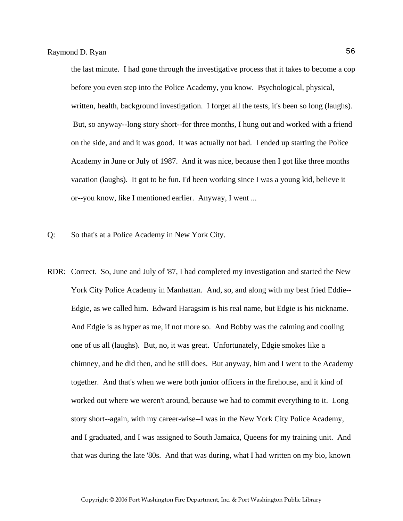the last minute. I had gone through the investigative process that it takes to become a cop before you even step into the Police Academy, you know. Psychological, physical, written, health, background investigation. I forget all the tests, it's been so long (laughs). But, so anyway--long story short--for three months, I hung out and worked with a friend on the side, and and it was good. It was actually not bad. I ended up starting the Police Academy in June or July of 1987. And it was nice, because then I got like three months vacation (laughs). It got to be fun. I'd been working since I was a young kid, believe it or--you know, like I mentioned earlier. Anyway, I went ...

- Q: So that's at a Police Academy in New York City.
- RDR: Correct. So, June and July of '87, I had completed my investigation and started the New York City Police Academy in Manhattan. And, so, and along with my best fried Eddie-- Edgie, as we called him. Edward Haragsim is his real name, but Edgie is his nickname. And Edgie is as hyper as me, if not more so. And Bobby was the calming and cooling one of us all (laughs). But, no, it was great. Unfortunately, Edgie smokes like a chimney, and he did then, and he still does. But anyway, him and I went to the Academy together. And that's when we were both junior officers in the firehouse, and it kind of worked out where we weren't around, because we had to commit everything to it. Long story short--again, with my career-wise--I was in the New York City Police Academy, and I graduated, and I was assigned to South Jamaica, Queens for my training unit. And that was during the late '80s. And that was during, what I had written on my bio, known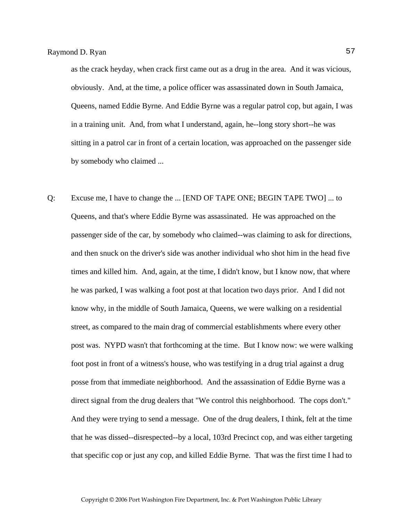as the crack heyday, when crack first came out as a drug in the area. And it was vicious, obviously. And, at the time, a police officer was assassinated down in South Jamaica, Queens, named Eddie Byrne. And Eddie Byrne was a regular patrol cop, but again, I was in a training unit. And, from what I understand, again, he--long story short--he was sitting in a patrol car in front of a certain location, was approached on the passenger side by somebody who claimed ...

Q: Excuse me, I have to change the ... [END OF TAPE ONE; BEGIN TAPE TWO] ... to Queens, and that's where Eddie Byrne was assassinated. He was approached on the passenger side of the car, by somebody who claimed--was claiming to ask for directions, and then snuck on the driver's side was another individual who shot him in the head five times and killed him. And, again, at the time, I didn't know, but I know now, that where he was parked, I was walking a foot post at that location two days prior. And I did not know why, in the middle of South Jamaica, Queens, we were walking on a residential street, as compared to the main drag of commercial establishments where every other post was. NYPD wasn't that forthcoming at the time. But I know now: we were walking foot post in front of a witness's house, who was testifying in a drug trial against a drug posse from that immediate neighborhood. And the assassination of Eddie Byrne was a direct signal from the drug dealers that "We control this neighborhood. The cops don't." And they were trying to send a message. One of the drug dealers, I think, felt at the time that he was dissed--disrespected--by a local, 103rd Precinct cop, and was either targeting that specific cop or just any cop, and killed Eddie Byrne. That was the first time I had to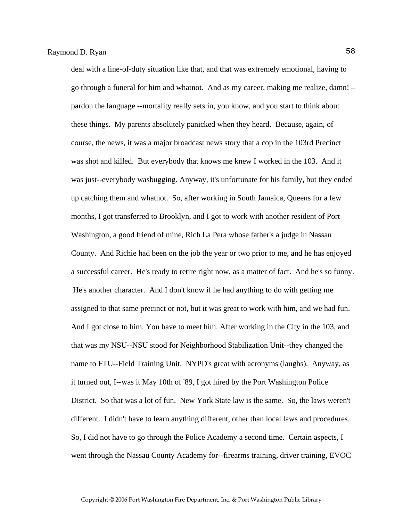deal with a line-of-duty situation like that, and that was extremely emotional, having to go through a funeral for him and whatnot. And as my career, making me realize, damn! – pardon the language --mortality really sets in, you know, and you start to think about these things. My parents absolutely panicked when they heard. Because, again, of course, the news, it was a major broadcast news story that a cop in the 103rd Precinct was shot and killed. But everybody that knows me knew I worked in the 103. And it was just--everybody wasbugging. Anyway, it's unfortunate for his family, but they ended up catching them and whatnot. So, after working in South Jamaica, Queens for a few months, I got transferred to Brooklyn, and I got to work with another resident of Port Washington, a good friend of mine, Rich La Pera whose father's a judge in Nassau County. And Richie had been on the job the year or two prior to me, and he has enjoyed a successful career. He's ready to retire right now, as a matter of fact. And he's so funny. He's another character. And I don't know if he had anything to do with getting me assigned to that same precinct or not, but it was great to work with him, and we had fun. And I got close to him. You have to meet him. After working in the City in the 103, and that was my NSU--NSU stood for Neighborhood Stabilization Unit--they changed the name to FTU--Field Training Unit. NYPD's great with acronyms (laughs). Anyway, as it turned out, I--was it May 10th of '89, I got hired by the Port Washington Police District. So that was a lot of fun. New York State law is the same. So, the laws weren't different. I didn't have to learn anything different, other than local laws and procedures. So, I did not have to go through the Police Academy a second time. Certain aspects, I went through the Nassau County Academy for--firearms training, driver training, EVOC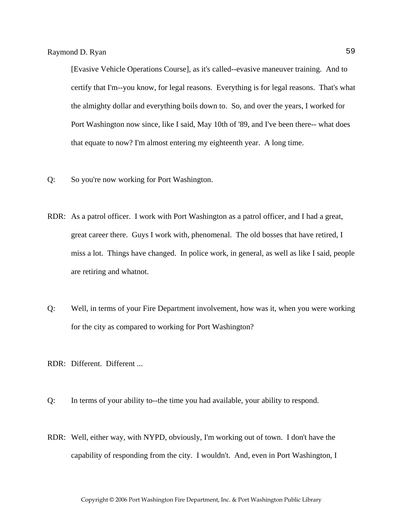[Evasive Vehicle Operations Course], as it's called--evasive maneuver training. And to certify that I'm--you know, for legal reasons. Everything is for legal reasons. That's what the almighty dollar and everything boils down to. So, and over the years, I worked for Port Washington now since, like I said, May 10th of '89, and I've been there-- what does that equate to now? I'm almost entering my eighteenth year. A long time.

- Q: So you're now working for Port Washington.
- RDR: As a patrol officer. I work with Port Washington as a patrol officer, and I had a great, great career there. Guys I work with, phenomenal. The old bosses that have retired, I miss a lot. Things have changed. In police work, in general, as well as like I said, people are retiring and whatnot.
- Q: Well, in terms of your Fire Department involvement, how was it, when you were working for the city as compared to working for Port Washington?
- RDR: Different. Different ...
- Q: In terms of your ability to--the time you had available, your ability to respond.
- RDR: Well, either way, with NYPD, obviously, I'm working out of town. I don't have the capability of responding from the city. I wouldn't. And, even in Port Washington, I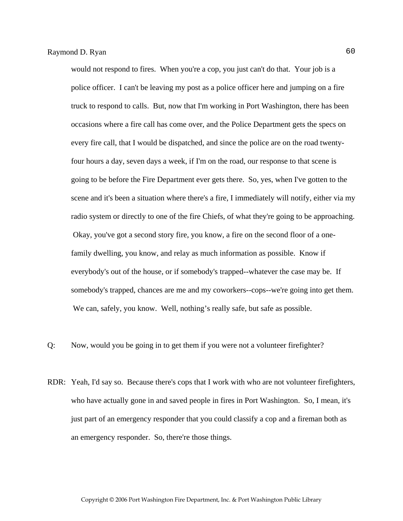would not respond to fires. When you're a cop, you just can't do that. Your job is a police officer. I can't be leaving my post as a police officer here and jumping on a fire truck to respond to calls. But, now that I'm working in Port Washington, there has been occasions where a fire call has come over, and the Police Department gets the specs on every fire call, that I would be dispatched, and since the police are on the road twentyfour hours a day, seven days a week, if I'm on the road, our response to that scene is going to be before the Fire Department ever gets there. So, yes, when I've gotten to the scene and it's been a situation where there's a fire, I immediately will notify, either via my radio system or directly to one of the fire Chiefs, of what they're going to be approaching. Okay, you've got a second story fire, you know, a fire on the second floor of a onefamily dwelling, you know, and relay as much information as possible. Know if everybody's out of the house, or if somebody's trapped--whatever the case may be. If somebody's trapped, chances are me and my coworkers--cops--we're going into get them. We can, safely, you know. Well, nothing's really safe, but safe as possible.

- Q: Now, would you be going in to get them if you were not a volunteer firefighter?
- RDR: Yeah, I'd say so. Because there's cops that I work with who are not volunteer firefighters, who have actually gone in and saved people in fires in Port Washington. So, I mean, it's just part of an emergency responder that you could classify a cop and a fireman both as an emergency responder. So, there're those things.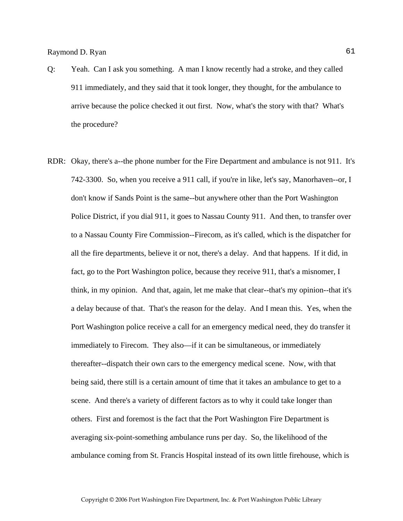- Q: Yeah. Can I ask you something. A man I know recently had a stroke, and they called 911 immediately, and they said that it took longer, they thought, for the ambulance to arrive because the police checked it out first. Now, what's the story with that? What's the procedure?
- RDR: Okay, there's a--the phone number for the Fire Department and ambulance is not 911. It's 742-3300. So, when you receive a 911 call, if you're in like, let's say, Manorhaven--or, I don't know if Sands Point is the same--but anywhere other than the Port Washington Police District, if you dial 911, it goes to Nassau County 911. And then, to transfer over to a Nassau County Fire Commission--Firecom, as it's called, which is the dispatcher for all the fire departments, believe it or not, there's a delay. And that happens. If it did, in fact, go to the Port Washington police, because they receive 911, that's a misnomer, I think, in my opinion. And that, again, let me make that clear--that's my opinion--that it's a delay because of that. That's the reason for the delay. And I mean this. Yes, when the Port Washington police receive a call for an emergency medical need, they do transfer it immediately to Firecom. They also—if it can be simultaneous, or immediately thereafter--dispatch their own cars to the emergency medical scene. Now, with that being said, there still is a certain amount of time that it takes an ambulance to get to a scene. And there's a variety of different factors as to why it could take longer than others. First and foremost is the fact that the Port Washington Fire Department is averaging six-point-something ambulance runs per day. So, the likelihood of the ambulance coming from St. Francis Hospital instead of its own little firehouse, which is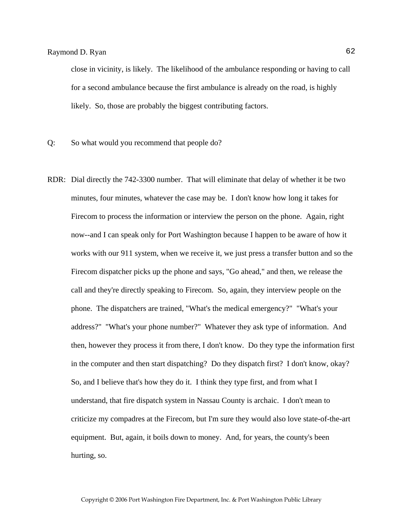close in vicinity, is likely. The likelihood of the ambulance responding or having to call for a second ambulance because the first ambulance is already on the road, is highly likely. So, those are probably the biggest contributing factors.

- Q: So what would you recommend that people do?
- RDR: Dial directly the 742-3300 number. That will eliminate that delay of whether it be two minutes, four minutes, whatever the case may be. I don't know how long it takes for Firecom to process the information or interview the person on the phone. Again, right now--and I can speak only for Port Washington because I happen to be aware of how it works with our 911 system, when we receive it, we just press a transfer button and so the Firecom dispatcher picks up the phone and says, "Go ahead," and then, we release the call and they're directly speaking to Firecom. So, again, they interview people on the phone. The dispatchers are trained, "What's the medical emergency?" "What's your address?" "What's your phone number?" Whatever they ask type of information. And then, however they process it from there, I don't know. Do they type the information first in the computer and then start dispatching? Do they dispatch first? I don't know, okay? So, and I believe that's how they do it. I think they type first, and from what I understand, that fire dispatch system in Nassau County is archaic. I don't mean to criticize my compadres at the Firecom, but I'm sure they would also love state-of-the-art equipment. But, again, it boils down to money. And, for years, the county's been hurting, so.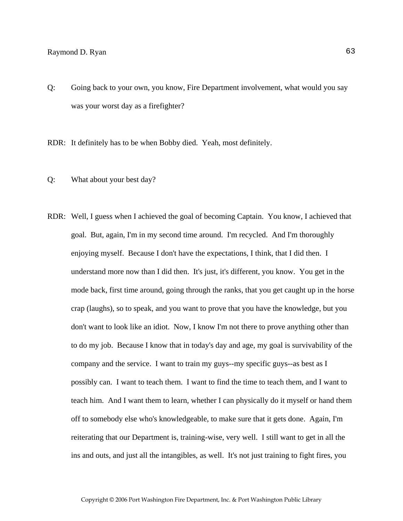# Raymond D. Ryan 63

Q: Going back to your own, you know, Fire Department involvement, what would you say was your worst day as a firefighter?

RDR: It definitely has to be when Bobby died. Yeah, most definitely.

- Q: What about your best day?
- RDR: Well, I guess when I achieved the goal of becoming Captain. You know, I achieved that goal. But, again, I'm in my second time around. I'm recycled. And I'm thoroughly enjoying myself. Because I don't have the expectations, I think, that I did then. I understand more now than I did then. It's just, it's different, you know. You get in the mode back, first time around, going through the ranks, that you get caught up in the horse crap (laughs), so to speak, and you want to prove that you have the knowledge, but you don't want to look like an idiot. Now, I know I'm not there to prove anything other than to do my job. Because I know that in today's day and age, my goal is survivability of the company and the service. I want to train my guys--my specific guys--as best as I possibly can. I want to teach them. I want to find the time to teach them, and I want to teach him. And I want them to learn, whether I can physically do it myself or hand them off to somebody else who's knowledgeable, to make sure that it gets done. Again, I'm reiterating that our Department is, training-wise, very well. I still want to get in all the ins and outs, and just all the intangibles, as well. It's not just training to fight fires, you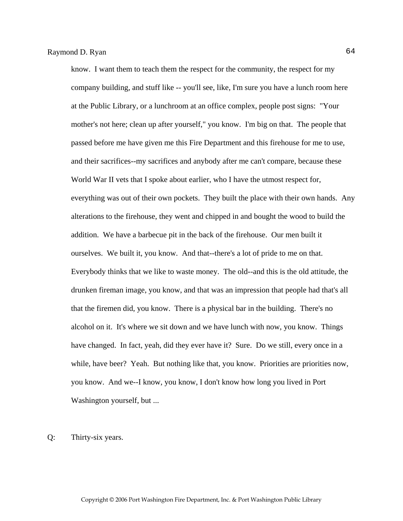know. I want them to teach them the respect for the community, the respect for my company building, and stuff like -- you'll see, like, I'm sure you have a lunch room here at the Public Library, or a lunchroom at an office complex, people post signs: "Your mother's not here; clean up after yourself," you know. I'm big on that. The people that passed before me have given me this Fire Department and this firehouse for me to use, and their sacrifices--my sacrifices and anybody after me can't compare, because these World War II vets that I spoke about earlier, who I have the utmost respect for, everything was out of their own pockets. They built the place with their own hands. Any alterations to the firehouse, they went and chipped in and bought the wood to build the addition. We have a barbecue pit in the back of the firehouse. Our men built it ourselves. We built it, you know. And that--there's a lot of pride to me on that. Everybody thinks that we like to waste money. The old--and this is the old attitude, the drunken fireman image, you know, and that was an impression that people had that's all that the firemen did, you know. There is a physical bar in the building. There's no alcohol on it. It's where we sit down and we have lunch with now, you know. Things have changed. In fact, yeah, did they ever have it? Sure. Do we still, every once in a while, have beer? Yeah. But nothing like that, you know. Priorities are priorities now, you know. And we--I know, you know, I don't know how long you lived in Port Washington yourself, but ...

Q: Thirty-six years.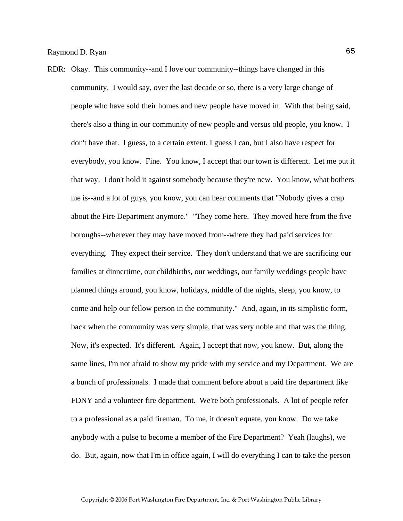RDR: Okay. This community--and I love our community--things have changed in this community. I would say, over the last decade or so, there is a very large change of people who have sold their homes and new people have moved in. With that being said, there's also a thing in our community of new people and versus old people, you know. I don't have that. I guess, to a certain extent, I guess I can, but I also have respect for everybody, you know. Fine. You know, I accept that our town is different. Let me put it that way. I don't hold it against somebody because they're new. You know, what bothers me is--and a lot of guys, you know, you can hear comments that "Nobody gives a crap about the Fire Department anymore." "They come here. They moved here from the five boroughs--wherever they may have moved from--where they had paid services for everything. They expect their service. They don't understand that we are sacrificing our families at dinnertime, our childbirths, our weddings, our family weddings people have planned things around, you know, holidays, middle of the nights, sleep, you know, to come and help our fellow person in the community." And, again, in its simplistic form, back when the community was very simple, that was very noble and that was the thing. Now, it's expected. It's different. Again, I accept that now, you know. But, along the same lines, I'm not afraid to show my pride with my service and my Department. We are a bunch of professionals. I made that comment before about a paid fire department like FDNY and a volunteer fire department. We're both professionals. A lot of people refer to a professional as a paid fireman. To me, it doesn't equate, you know. Do we take anybody with a pulse to become a member of the Fire Department? Yeah (laughs), we do. But, again, now that I'm in office again, I will do everything I can to take the person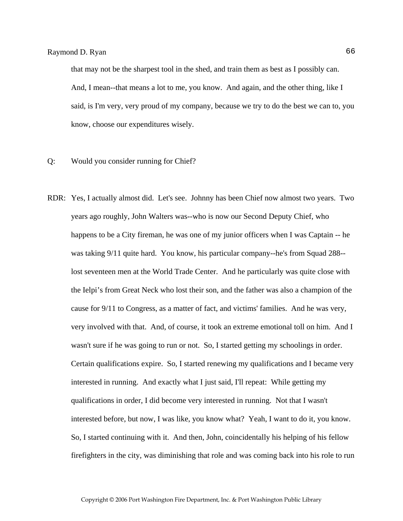that may not be the sharpest tool in the shed, and train them as best as I possibly can. And, I mean--that means a lot to me, you know. And again, and the other thing, like I said, is I'm very, very proud of my company, because we try to do the best we can to, you know, choose our expenditures wisely.

- Q: Would you consider running for Chief?
- RDR: Yes, I actually almost did. Let's see. Johnny has been Chief now almost two years. Two years ago roughly, John Walters was--who is now our Second Deputy Chief, who happens to be a City fireman, he was one of my junior officers when I was Captain -- he was taking 9/11 quite hard. You know, his particular company--he's from Squad 288- lost seventeen men at the World Trade Center. And he particularly was quite close with the Ielpi's from Great Neck who lost their son, and the father was also a champion of the cause for 9/11 to Congress, as a matter of fact, and victims' families. And he was very, very involved with that. And, of course, it took an extreme emotional toll on him. And I wasn't sure if he was going to run or not. So, I started getting my schoolings in order. Certain qualifications expire. So, I started renewing my qualifications and I became very interested in running. And exactly what I just said, I'll repeat: While getting my qualifications in order, I did become very interested in running. Not that I wasn't interested before, but now, I was like, you know what? Yeah, I want to do it, you know. So, I started continuing with it. And then, John, coincidentally his helping of his fellow firefighters in the city, was diminishing that role and was coming back into his role to run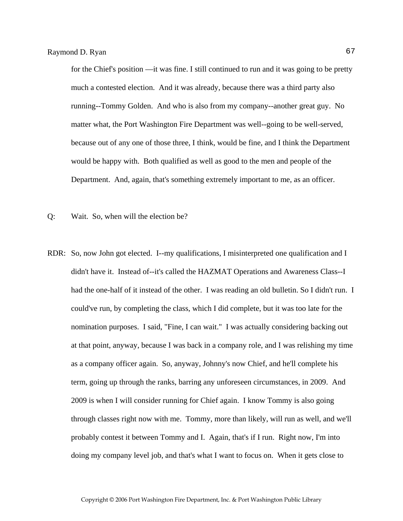for the Chief's position —it was fine. I still continued to run and it was going to be pretty much a contested election. And it was already, because there was a third party also running--Tommy Golden. And who is also from my company--another great guy. No matter what, the Port Washington Fire Department was well--going to be well-served, because out of any one of those three, I think, would be fine, and I think the Department would be happy with. Both qualified as well as good to the men and people of the Department. And, again, that's something extremely important to me, as an officer.

Q: Wait. So, when will the election be?

RDR: So, now John got elected. I--my qualifications, I misinterpreted one qualification and I didn't have it. Instead of--it's called the HAZMAT Operations and Awareness Class--I had the one-half of it instead of the other. I was reading an old bulletin. So I didn't run. I could've run, by completing the class, which I did complete, but it was too late for the nomination purposes. I said, "Fine, I can wait." I was actually considering backing out at that point, anyway, because I was back in a company role, and I was relishing my time as a company officer again. So, anyway, Johnny's now Chief, and he'll complete his term, going up through the ranks, barring any unforeseen circumstances, in 2009. And 2009 is when I will consider running for Chief again. I know Tommy is also going through classes right now with me. Tommy, more than likely, will run as well, and we'll probably contest it between Tommy and I. Again, that's if I run. Right now, I'm into doing my company level job, and that's what I want to focus on. When it gets close to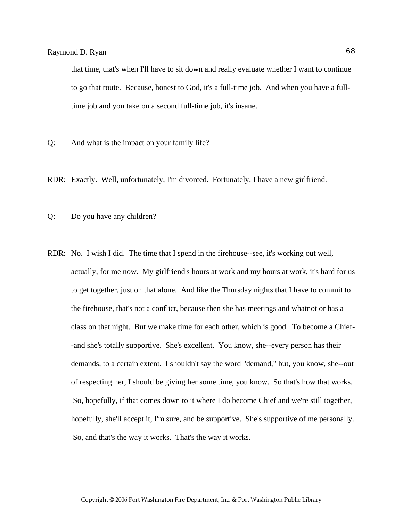that time, that's when I'll have to sit down and really evaluate whether I want to continue to go that route. Because, honest to God, it's a full-time job. And when you have a fulltime job and you take on a second full-time job, it's insane.

- Q: And what is the impact on your family life?
- RDR: Exactly. Well, unfortunately, I'm divorced. Fortunately, I have a new girlfriend.
- Q: Do you have any children?
- RDR: No. I wish I did. The time that I spend in the firehouse--see, it's working out well, actually, for me now. My girlfriend's hours at work and my hours at work, it's hard for us to get together, just on that alone. And like the Thursday nights that I have to commit to the firehouse, that's not a conflict, because then she has meetings and whatnot or has a class on that night. But we make time for each other, which is good. To become a Chief- -and she's totally supportive. She's excellent. You know, she--every person has their demands, to a certain extent. I shouldn't say the word "demand," but, you know, she--out of respecting her, I should be giving her some time, you know. So that's how that works. So, hopefully, if that comes down to it where I do become Chief and we're still together, hopefully, she'll accept it, I'm sure, and be supportive. She's supportive of me personally. So, and that's the way it works. That's the way it works.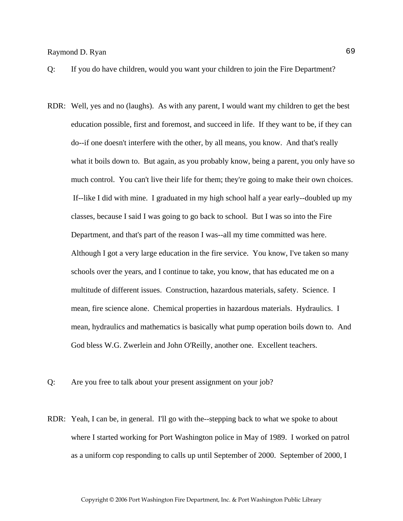# Raymond D. Ryan 69

- Q: If you do have children, would you want your children to join the Fire Department?
- RDR: Well, yes and no (laughs). As with any parent, I would want my children to get the best education possible, first and foremost, and succeed in life. If they want to be, if they can do--if one doesn't interfere with the other, by all means, you know. And that's really what it boils down to. But again, as you probably know, being a parent, you only have so much control. You can't live their life for them; they're going to make their own choices. If--like I did with mine. I graduated in my high school half a year early--doubled up my classes, because I said I was going to go back to school. But I was so into the Fire Department, and that's part of the reason I was--all my time committed was here. Although I got a very large education in the fire service. You know, I've taken so many schools over the years, and I continue to take, you know, that has educated me on a multitude of different issues. Construction, hazardous materials, safety. Science. I mean, fire science alone. Chemical properties in hazardous materials. Hydraulics. I mean, hydraulics and mathematics is basically what pump operation boils down to. And God bless W.G. Zwerlein and John O'Reilly, another one. Excellent teachers.
- Q: Are you free to talk about your present assignment on your job?
- RDR: Yeah, I can be, in general. I'll go with the--stepping back to what we spoke to about where I started working for Port Washington police in May of 1989. I worked on patrol as a uniform cop responding to calls up until September of 2000. September of 2000, I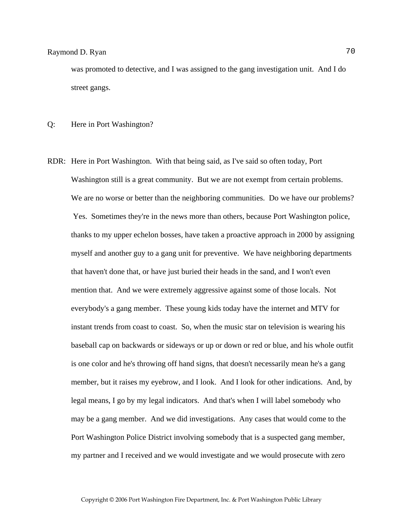was promoted to detective, and I was assigned to the gang investigation unit. And I do street gangs.

Q: Here in Port Washington?

RDR: Here in Port Washington. With that being said, as I've said so often today, Port Washington still is a great community. But we are not exempt from certain problems. We are no worse or better than the neighboring communities. Do we have our problems? Yes. Sometimes they're in the news more than others, because Port Washington police, thanks to my upper echelon bosses, have taken a proactive approach in 2000 by assigning myself and another guy to a gang unit for preventive. We have neighboring departments that haven't done that, or have just buried their heads in the sand, and I won't even mention that. And we were extremely aggressive against some of those locals. Not everybody's a gang member. These young kids today have the internet and MTV for instant trends from coast to coast. So, when the music star on television is wearing his baseball cap on backwards or sideways or up or down or red or blue, and his whole outfit is one color and he's throwing off hand signs, that doesn't necessarily mean he's a gang member, but it raises my eyebrow, and I look. And I look for other indications. And, by legal means, I go by my legal indicators. And that's when I will label somebody who may be a gang member. And we did investigations. Any cases that would come to the Port Washington Police District involving somebody that is a suspected gang member, my partner and I received and we would investigate and we would prosecute with zero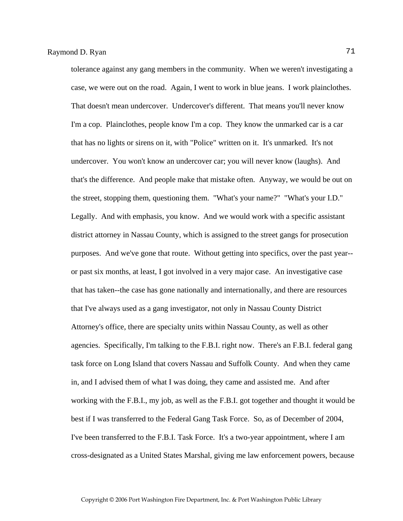tolerance against any gang members in the community. When we weren't investigating a case, we were out on the road. Again, I went to work in blue jeans. I work plainclothes. That doesn't mean undercover. Undercover's different. That means you'll never know I'm a cop. Plainclothes, people know I'm a cop. They know the unmarked car is a car that has no lights or sirens on it, with "Police" written on it. It's unmarked. It's not undercover. You won't know an undercover car; you will never know (laughs). And that's the difference. And people make that mistake often. Anyway, we would be out on the street, stopping them, questioning them. "What's your name?" "What's your I.D." Legally. And with emphasis, you know. And we would work with a specific assistant district attorney in Nassau County, which is assigned to the street gangs for prosecution purposes. And we've gone that route. Without getting into specifics, over the past year- or past six months, at least, I got involved in a very major case. An investigative case that has taken--the case has gone nationally and internationally, and there are resources that I've always used as a gang investigator, not only in Nassau County District Attorney's office, there are specialty units within Nassau County, as well as other agencies. Specifically, I'm talking to the F.B.I. right now. There's an F.B.I. federal gang task force on Long Island that covers Nassau and Suffolk County. And when they came in, and I advised them of what I was doing, they came and assisted me. And after working with the F.B.I., my job, as well as the F.B.I. got together and thought it would be best if I was transferred to the Federal Gang Task Force. So, as of December of 2004, I've been transferred to the F.B.I. Task Force. It's a two-year appointment, where I am cross-designated as a United States Marshal, giving me law enforcement powers, because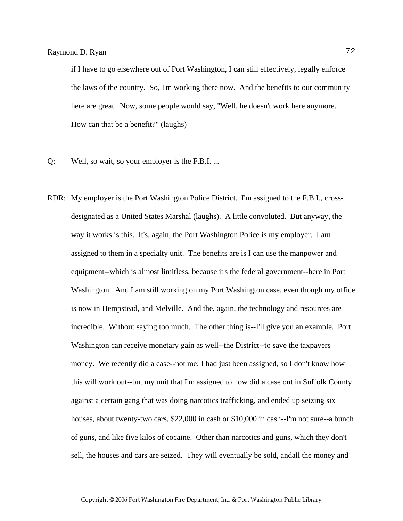if I have to go elsewhere out of Port Washington, I can still effectively, legally enforce the laws of the country. So, I'm working there now. And the benefits to our community here are great. Now, some people would say, "Well, he doesn't work here anymore. How can that be a benefit?" (laughs)

- Q: Well, so wait, so your employer is the F.B.I. ...
- RDR: My employer is the Port Washington Police District. I'm assigned to the F.B.I., crossdesignated as a United States Marshal (laughs). A little convoluted. But anyway, the way it works is this. It's, again, the Port Washington Police is my employer. I am assigned to them in a specialty unit. The benefits are is I can use the manpower and equipment--which is almost limitless, because it's the federal government--here in Port Washington. And I am still working on my Port Washington case, even though my office is now in Hempstead, and Melville. And the, again, the technology and resources are incredible. Without saying too much. The other thing is--I'll give you an example. Port Washington can receive monetary gain as well--the District--to save the taxpayers money. We recently did a case--not me; I had just been assigned, so I don't know how this will work out--but my unit that I'm assigned to now did a case out in Suffolk County against a certain gang that was doing narcotics trafficking, and ended up seizing six houses, about twenty-two cars, \$22,000 in cash or \$10,000 in cash--I'm not sure--a bunch of guns, and like five kilos of cocaine. Other than narcotics and guns, which they don't sell, the houses and cars are seized. They will eventually be sold, andall the money and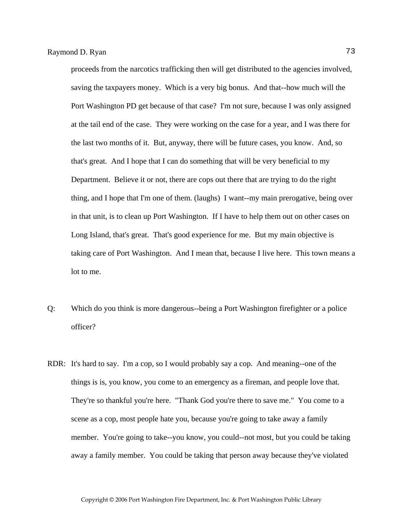proceeds from the narcotics trafficking then will get distributed to the agencies involved, saving the taxpayers money. Which is a very big bonus. And that--how much will the Port Washington PD get because of that case? I'm not sure, because I was only assigned at the tail end of the case. They were working on the case for a year, and I was there for the last two months of it. But, anyway, there will be future cases, you know. And, so that's great. And I hope that I can do something that will be very beneficial to my Department. Believe it or not, there are cops out there that are trying to do the right thing, and I hope that I'm one of them. (laughs) I want--my main prerogative, being over in that unit, is to clean up Port Washington. If I have to help them out on other cases on Long Island, that's great. That's good experience for me. But my main objective is taking care of Port Washington. And I mean that, because I live here. This town means a lot to me.

- Q: Which do you think is more dangerous--being a Port Washington firefighter or a police officer?
- RDR: It's hard to say. I'm a cop, so I would probably say a cop. And meaning--one of the things is is, you know, you come to an emergency as a fireman, and people love that. They're so thankful you're here. "Thank God you're there to save me." You come to a scene as a cop, most people hate you, because you're going to take away a family member. You're going to take--you know, you could--not most, but you could be taking away a family member. You could be taking that person away because they've violated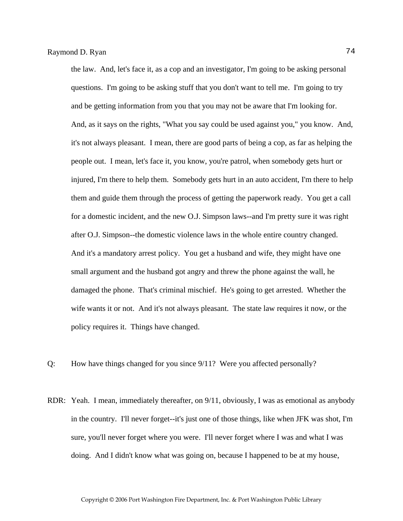the law. And, let's face it, as a cop and an investigator, I'm going to be asking personal questions. I'm going to be asking stuff that you don't want to tell me. I'm going to try and be getting information from you that you may not be aware that I'm looking for. And, as it says on the rights, "What you say could be used against you," you know. And, it's not always pleasant. I mean, there are good parts of being a cop, as far as helping the people out. I mean, let's face it, you know, you're patrol, when somebody gets hurt or injured, I'm there to help them. Somebody gets hurt in an auto accident, I'm there to help them and guide them through the process of getting the paperwork ready. You get a call for a domestic incident, and the new O.J. Simpson laws--and I'm pretty sure it was right after O.J. Simpson--the domestic violence laws in the whole entire country changed. And it's a mandatory arrest policy. You get a husband and wife, they might have one small argument and the husband got angry and threw the phone against the wall, he damaged the phone. That's criminal mischief. He's going to get arrested. Whether the wife wants it or not. And it's not always pleasant. The state law requires it now, or the policy requires it. Things have changed.

- Q: How have things changed for you since 9/11? Were you affected personally?
- RDR: Yeah. I mean, immediately thereafter, on 9/11, obviously, I was as emotional as anybody in the country. I'll never forget--it's just one of those things, like when JFK was shot, I'm sure, you'll never forget where you were. I'll never forget where I was and what I was doing. And I didn't know what was going on, because I happened to be at my house,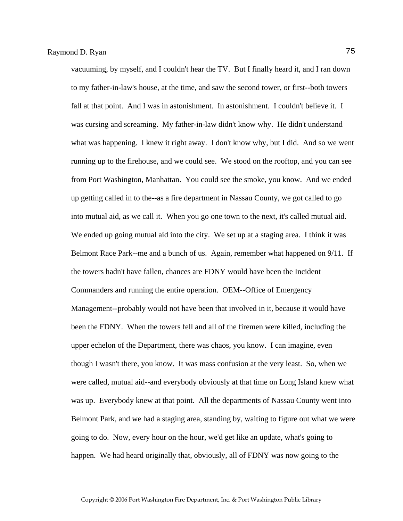vacuuming, by myself, and I couldn't hear the TV. But I finally heard it, and I ran down to my father-in-law's house, at the time, and saw the second tower, or first--both towers fall at that point. And I was in astonishment. In astonishment. I couldn't believe it. I was cursing and screaming. My father-in-law didn't know why. He didn't understand what was happening. I knew it right away. I don't know why, but I did. And so we went running up to the firehouse, and we could see. We stood on the rooftop, and you can see from Port Washington, Manhattan. You could see the smoke, you know. And we ended up getting called in to the--as a fire department in Nassau County, we got called to go into mutual aid, as we call it. When you go one town to the next, it's called mutual aid. We ended up going mutual aid into the city. We set up at a staging area. I think it was Belmont Race Park--me and a bunch of us. Again, remember what happened on 9/11. If the towers hadn't have fallen, chances are FDNY would have been the Incident Commanders and running the entire operation. OEM--Office of Emergency Management--probably would not have been that involved in it, because it would have been the FDNY. When the towers fell and all of the firemen were killed, including the upper echelon of the Department, there was chaos, you know. I can imagine, even though I wasn't there, you know. It was mass confusion at the very least. So, when we were called, mutual aid--and everybody obviously at that time on Long Island knew what was up. Everybody knew at that point. All the departments of Nassau County went into Belmont Park, and we had a staging area, standing by, waiting to figure out what we were going to do. Now, every hour on the hour, we'd get like an update, what's going to happen. We had heard originally that, obviously, all of FDNY was now going to the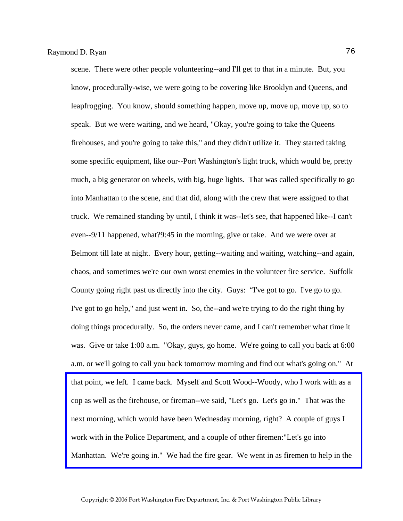scene. There were other people volunteering--and I'll get to that in a minute. But, you know, procedurally-wise, we were going to be covering like Brooklyn and Queens, and leapfrogging. You know, should something happen, move up, move up, move up, so to speak. But we were waiting, and we heard, "Okay, you're going to take the Queens firehouses, and you're going to take this," and they didn't utilize it. They started taking some specific equipment, like our--Port Washington's light truck, which would be, pretty much, a big generator on wheels, with big, huge lights. That was called specifically to go into Manhattan to the scene, and that did, along with the crew that were assigned to that truck. We remained standing by until, I think it was--let's see, that happened like--I can't even--9/11 happened, what?9:45 in the morning, give or take. And we were over at Belmont till late at night. Every hour, getting--waiting and waiting, watching--and again, chaos, and sometimes we're our own worst enemies in the volunteer fire service. Suffolk County going right past us directly into the city. Guys: "I've got to go. I've go to go. I've got to go help," and just went in. So, the--and we're trying to do the right thing by doing things procedurally. So, the orders never came, and I can't remember what time it was. Give or take 1:00 a.m. "Okay, guys, go home. We're going to call you back at 6:00 a.m. or we'll going to call you back tomorrow morning and find out what's going on." At that point, we left. I came back. Myself and Scott Wood--Woody, who I work with as a cop as well as the firehouse, or fireman--we said, "Let's go. Let's go in." That was the next morning, which would have been Wednesday morning, right? A couple of guys I work with in the Police Department, and a couple of other firemen:"Let's go into [Manhattan. We're going in." We had the fire gear. We went in as firemen to help in the](http://www.pwfdhistory.com/trans/ryanr_trans/pwfd_911006_web.jpg)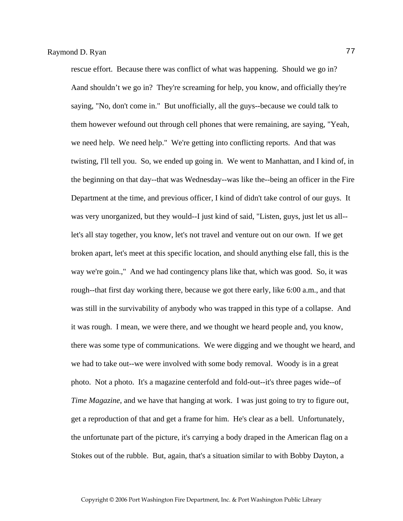rescue effort. Because there was conflict of what was happening. Should we go in? Aand shouldn't we go in? They're screaming for help, you know, and officially they're saying, "No, don't come in." But unofficially, all the guys--because we could talk to them however wefound out through cell phones that were remaining, are saying, "Yeah, we need help. We need help." We're getting into conflicting reports. And that was twisting, I'll tell you. So, we ended up going in. We went to Manhattan, and I kind of, in the beginning on that day--that was Wednesday--was like the--being an officer in the Fire Department at the time, and previous officer, I kind of didn't take control of our guys. It was very unorganized, but they would--I just kind of said, "Listen, guys, just let us all- let's all stay together, you know, let's not travel and venture out on our own. If we get broken apart, let's meet at this specific location, and should anything else fall, this is the way we're goin.," And we had contingency plans like that, which was good. So, it was rough--that first day working there, because we got there early, like 6:00 a.m., and that was still in the survivability of anybody who was trapped in this type of a collapse. And it was rough. I mean, we were there, and we thought we heard people and, you know, there was some type of communications. We were digging and we thought we heard, and we had to take out--we were involved with some body removal. Woody is in a great photo. Not a photo. It's a magazine centerfold and fold-out--it's three pages wide--of *Time Magazine*, and we have that hanging at work. I was just going to try to figure out, get a reproduction of that and get a frame for him. He's clear as a bell. Unfortunately, the unfortunate part of the picture, it's carrying a body draped in the American flag on a Stokes out of the rubble. But, again, that's a situation similar to with Bobby Dayton, a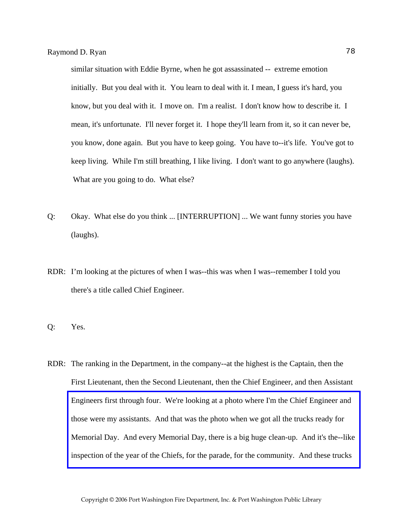similar situation with Eddie Byrne, when he got assassinated -- extreme emotion initially. But you deal with it. You learn to deal with it. I mean, I guess it's hard, you know, but you deal with it. I move on. I'm a realist. I don't know how to describe it. I mean, it's unfortunate. I'll never forget it. I hope they'll learn from it, so it can never be, you know, done again. But you have to keep going. You have to--it's life. You've got to keep living. While I'm still breathing, I like living. I don't want to go anywhere (laughs). What are you going to do. What else?

- Q: Okay. What else do you think ... [INTERRUPTION] ... We want funny stories you have (laughs).
- RDR: I'm looking at the pictures of when I was--this was when I was--remember I told you there's a title called Chief Engineer.
- Q: Yes.
- RDR: The ranking in the Department, in the company--at the highest is the Captain, then the First Lieutenant, then the Second Lieutenant, then the Chief Engineer, and then Assistant Engineers first through four. We're looking at a photo where I'm the Chief Engineer and those were my assistants. And that was the photo when we got all the trucks ready for [Memorial Day. And every Memorial Day, there is a big huge clean-up. And it's the--like](http://www.pwfdhistory.com/trans/ryanr_trans/peco_officers001_web.jpg)  inspection of the year of the Chiefs, for the parade, for the community. And these trucks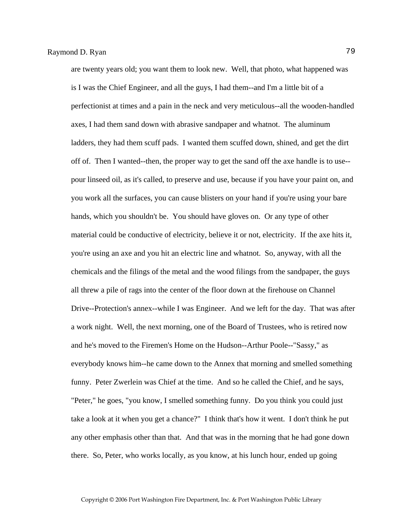are twenty years old; you want them to look new. Well, that photo, what happened was is I was the Chief Engineer, and all the guys, I had them--and I'm a little bit of a perfectionist at times and a pain in the neck and very meticulous--all the wooden-handled axes, I had them sand down with abrasive sandpaper and whatnot. The aluminum ladders, they had them scuff pads. I wanted them scuffed down, shined, and get the dirt off of. Then I wanted--then, the proper way to get the sand off the axe handle is to use- pour linseed oil, as it's called, to preserve and use, because if you have your paint on, and you work all the surfaces, you can cause blisters on your hand if you're using your bare hands, which you shouldn't be. You should have gloves on. Or any type of other material could be conductive of electricity, believe it or not, electricity. If the axe hits it, you're using an axe and you hit an electric line and whatnot. So, anyway, with all the chemicals and the filings of the metal and the wood filings from the sandpaper, the guys all threw a pile of rags into the center of the floor down at the firehouse on Channel Drive--Protection's annex--while I was Engineer. And we left for the day. That was after a work night. Well, the next morning, one of the Board of Trustees, who is retired now and he's moved to the Firemen's Home on the Hudson--Arthur Poole--"Sassy," as everybody knows him--he came down to the Annex that morning and smelled something funny. Peter Zwerlein was Chief at the time. And so he called the Chief, and he says, "Peter," he goes, "you know, I smelled something funny. Do you think you could just take a look at it when you get a chance?" I think that's how it went. I don't think he put any other emphasis other than that. And that was in the morning that he had gone down there. So, Peter, who works locally, as you know, at his lunch hour, ended up going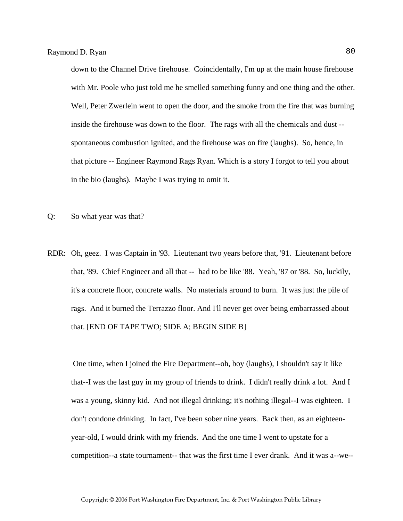down to the Channel Drive firehouse. Coincidentally, I'm up at the main house firehouse with Mr. Poole who just told me he smelled something funny and one thing and the other. Well, Peter Zwerlein went to open the door, and the smoke from the fire that was burning inside the firehouse was down to the floor. The rags with all the chemicals and dust - spontaneous combustion ignited, and the firehouse was on fire (laughs). So, hence, in that picture -- Engineer Raymond Rags Ryan. Which is a story I forgot to tell you about in the bio (laughs). Maybe I was trying to omit it.

- Q: So what year was that?
- RDR: Oh, geez. I was Captain in '93. Lieutenant two years before that, '91. Lieutenant before that, '89. Chief Engineer and all that -- had to be like '88. Yeah, '87 or '88. So, luckily, it's a concrete floor, concrete walls. No materials around to burn. It was just the pile of rags. And it burned the Terrazzo floor. And I'll never get over being embarrassed about that. [END OF TAPE TWO; SIDE A; BEGIN SIDE B]

 One time, when I joined the Fire Department--oh, boy (laughs), I shouldn't say it like that--I was the last guy in my group of friends to drink. I didn't really drink a lot. And I was a young, skinny kid. And not illegal drinking; it's nothing illegal--I was eighteen. I don't condone drinking. In fact, I've been sober nine years. Back then, as an eighteenyear-old, I would drink with my friends. And the one time I went to upstate for a competition--a state tournament-- that was the first time I ever drank. And it was a--we--